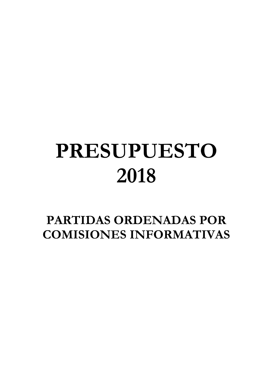## **PRESUPUESTO 2018**

**PARTIDAS ORDENADAS POR COMISIONES INFORMATIVAS**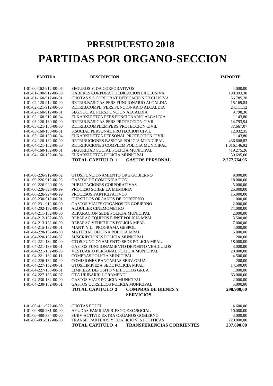## **PRESUPUESTO 2018 PARTIDAS POR ORGANO-SECCION**

**PARTIDA DESCRIPCION IMPORTE**

| 1-01-00-162-912-00-05 | SEGUROS VIDA CORPORATIVOS                             | 4.000,00     |
|-----------------------|-------------------------------------------------------|--------------|
| 1-01-01-100-912-00-00 | HABERES CORPORAT.DEDICACION EXCLUSIVA                 | 198.393,38   |
| 1-01-01-160-912-00-01 | CUOTAS S.S.CORPORAT.DEDICACION EXCLUSIVA              | 56.785,28    |
| 1-01-02-120-912-00-00 | RETRIB.BASICAS PERS.FUNCIONARIO ALCALDIA              | 15.169,84    |
| 1-01-02-121-912-00-00 | RETRIB.COMPL. PERS.FUNCIONARIO ALCALDIA               | 24.111,12    |
| 1-01-02-160-912-00-01 | SEG.SOCIAL PERS.FUNCION.ALCALDIA                      | 9.798,36     |
| 1-01-02-160-912-00-04 | ELKARKIDETZA PERS.FUNCIONARIO ALCALDIA                | 1.143,80     |
| 1-01-03-120-130-00-00 | RETRIB.BASICAS PERS.PROTECCION CIVIL                  | 14.793,94    |
| 1-01-03-121-130-00-00 | RETRIB.COMPLEM.PERS.PROTECCION CIVIL                  | 37.667,07    |
| 1-01-03-160-130-00-01 | S.SOCIAL PERSONAL PROTECCION CIVIL                    | 12.032,35    |
| 1-01-03-160-130-00-04 | ELKARKIDETZA PERSONAL PROTECCION CIVIL                | 1.143,80     |
| 1-01-04-120-132-00-00 | RETRIBUCIONES BASICAS POLICIA MUNICIPAL               | 436.608,83   |
| 1-01-04-121-132-00-00 | RETRIBUCIONES COMPLEM.POLICIA MUNICIPAL               | 1.016.146,92 |
| 1-01-04-160-132-00-01 | SEGURIDAD SOCIAL POLICIA MUNICIPAL                    | 419.275,26   |
| 1-01-04-160-132-00-04 | ELKARKIDETZA POLICIA MUNICIPAL                        | 30.695,00    |
|                       | <b>TOTAL CAPITULO 1</b><br><b>GASTOS PERSONAL</b>     | 2.277.764,95 |
|                       |                                                       |              |
| 1-01-00-226-912-00-02 | GTOS.FUNCIONAMIENTO ORG.GOBIERNO                      | 9.000,00     |
| 1-01-00-226-912-00-03 | <b>GASTOS DE COMUNICACION</b>                         | 18.000,00    |
| 1-01-00-226-920-00-03 | PUBLICACIONES CORPORATIVAS                            | 5.000,00     |
| 1-01-00-226-326-00-99 | PROCESO SOBRE LA MEMORIA                              | 25.000,00    |
| 1-01-00-226-924-00-99 | PROCESOS PARTICIPATIVOS                               | 15.000,00    |
| 1-01-00-230-912-00-01 | <b>CURSILLOS ORGANOS DE GOBIERNO</b>                  | 1.000,00     |
| 1-01-00-231-912-00-00 | GASTOS VIAJES ORGANOS DE GOBIERNO                     | 2.000,00     |
| 1-01-04-202-132-00-01 | ALQUILER CINEMOMETRO                                  | 71.000,00    |
| 1-01-04-211-132-00-00 | REPARACION SEDE POLICIA MUNICIPAL                     | 2.000,00     |
| 1-01-04-212-132-00-00 | REPARAC.EQUIPOS E INST.POLICIA MPAL                   | 3.500,00     |
| 1-01-04-213-132-00-00 | REPARAC.VEHICULOS POLICIA MPAL                        | 7.000,00     |
| 1-01-04-215-132-00-01 | MANT. Y LI. PROGRAMA GESPOL                           | 4.000,00     |
| 1-01-04-220-132-00-00 | MATERIAL OFICINA POLICIA MPAL                         | 5.000,00     |
| 1-01-04-220-132-00-02 | SUSCRIPCIONES POLICIA MUNICIPAL                       | 200,00       |
| 1-01-04-221-132-00-00 | GTOS.FUNCIONAMIENTO SEDE POLICIA MPAL.                | 18.000,00    |
| 1-01-04-221-133-00-01 | GASTOS FUNCIONAMIENTO DEPOSITO VEHICULOS              | 3.000,00     |
| 1-01-04-221-132-00-05 | VESTUARIO PERSONAL POLICIA MUNICIPAL                  | 20.000,00    |
| 1-01-04-221-132-00-11 | COMPRAS POLICIA MUNICIPAL                             | 4.500,00     |
| 1-01-04-226-132-00-99 | COMISIONES BANCARIAS SERV.GRUA                        | 200,00       |
| 1-01-04-227-132-00-01 | GTOS.LIMPIEZA SEDE POLICIA MPAL.                      | 14.500,00    |
| 1-01-04-227-133-00-01 | LIMPIEZA DEPOSITO VEHICULOS GRUA                      | 1.000,00     |
| 1-01-04-227-133-00-07 | OTA URIBARRI-LORAMENDI                                | 63.000,00    |
| 1-01-04-230-132-00-00 | GASTOS VIAJE POLICIA MUNICIPAL                        | 2.000,00     |
| 1-01-04-230-132-00-01 | GASTOS CURSILLOS POLICIA MUNICIPAL                    | 5.000,00     |
|                       | <b>TOTAL CAPITULO 2</b><br><b>COMPRAS DE BIENES Y</b> | 298.900,00   |
|                       | <b>SERVICIOS</b>                                      |              |
| 1-01-00-411-922-00-00 | <b>CUOTAS EUDEL</b>                                   | 4.600,00     |
| 1-01-00-480-231-00-00 | AYUDAS FAMILIAS-RIESGO EXC.SOCIAL                     | 10.000,00    |
|                       |                                                       |              |

|                           | <b>TRANSFERENCIAS CORRIENTES</b><br><b>TOTAL CAPITULO 4</b> | 237.600.00 |  |
|---------------------------|-------------------------------------------------------------|------------|--|
| 1-01-00-481-912-00-00     | TRANSF. PARTIDOS Y COALICIONES POLITICAS                    | 220.000.00 |  |
| 1-01-00-480-334-00-00     | SUBV ACTIVID EXTRA ORGANOS GOBIERNO                         | 3.000.00   |  |
| $1-01-00-480-231-00-00$   | AYUDAS FAMILIAS-RIESGO EXC.SOCIAL                           | 10.000.00  |  |
| $1-(1-(0)-411-922-(0)-0)$ | CUOTAS EUDEL                                                | 4.600,00   |  |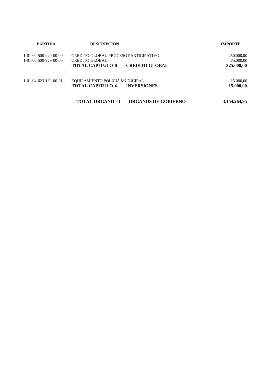| <b>PARTIDA</b>                                                             | <b>DESCRIPCION</b>                                                                                         | <b>IMPORTE</b>                        |
|----------------------------------------------------------------------------|------------------------------------------------------------------------------------------------------------|---------------------------------------|
| $1 - 01 - 00 - 500 - 920 - 00 - 00$<br>$1 - 01 - 00 - 500 - 929 - 00 - 00$ | CREDITO GLOBAL-PROCESO PARTICIPATIVO<br>CREDITO GLOBAL<br><b>CREDITO GLOBAL</b><br><b>TOTAL CAPITULO 5</b> | 250.000,00<br>75.000,00<br>325.000,00 |
| $1-01-04-623-132-00-01$                                                    | EQUIPAMIENTO POLICIA MUNICIPAL<br><b>TOTAL CAPITULO 6</b><br><b>INVERSIONES</b>                            | 15.000,00<br>15.000,00                |
|                                                                            | <b>TOTAL ORGANO 01</b><br><b>ORGANOS DE GOBIERNO</b>                                                       | 3.154.264,95                          |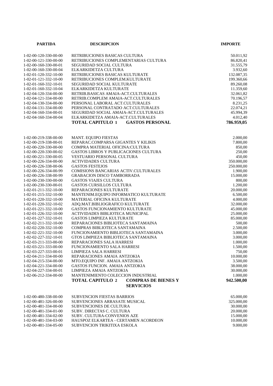| <b>PARTIDA</b>                                 | <b>DESCRIPCION</b>                                                  | <b>IMPORTE</b>      |
|------------------------------------------------|---------------------------------------------------------------------|---------------------|
|                                                |                                                                     |                     |
| 1-02-00-120-330-00-00                          | RETRIBUCIONES BASICAS CULTURA                                       | 50.011,92           |
| 1-02-00-121-330-00-00                          | RETRIBUCIONES COMPLEMENTARIAS CULTURA                               | 86.820,41           |
| 1-02-00-160-330-00-01                          | SEGURIDAD SOCIAL CULTURA                                            | 31.555,79           |
| 1-02-00-160-330-00-04                          | ELKARKIDETZA CULTURA                                                | 3.932,60            |
| 1-02-01-120-332-10-00                          | RETRIBUCIONES BASICAS KULTURATE                                     | 132.087,35          |
| 1-02-01-121-332-10-00                          | RETRIBUCIONES COMPLEM.KULTURATE                                     | 199.360,66          |
| 1-02-01-160-332-10-01                          | SEGURIDAD SOCIAL KULTURATE                                          | 89.260,08           |
| 1-02-01-160-332-10-04                          | ELKARKIDETZA KULTURATE                                              | 11.359,60           |
| 1-02-04-120-334-00-00                          | RETRIB.BASICAS AMAIA-ACT.CULTURALES                                 | 32.061,82           |
| 1-02-04-121-334-00-00                          | RETRIB.COMPLEM AMAIA-ACT.CULTURALES                                 | 70.196,57           |
| 1-02-04-130-334-00-00                          | PERSONAL LABORAL ACT.CULTURALES                                     | 8.231,25            |
| 1-02-04-131-334-00-00                          | PERSONAL CONTRATADO ACT.CULTURALES                                  | 22.074,21           |
| 1-02-04-160-334-00-01                          | SEGURIDAD SOCIAL AMAIA-ACT.CULTURALES                               | 45.994,39           |
| 1-02-04-160-334-00-04                          | ELKARKIDETZA AMAIA-ACT.CULTURALES                                   | 4.012,40            |
|                                                | <b>TOTAL CAPITULO 1</b><br><b>GASTOS PERSONAL</b>                   | 786.959,05          |
|                                                |                                                                     |                     |
| 1-02-00-219-338-00-00                          | <b>MANT. EQUIPO FIESTAS</b>                                         | 2.000,00            |
| 1-02-00-219-338-00-01                          | REPARAC.COMPARSA GIGANTES Y KILIKIS                                 | 7.800,00            |
| 1-02-00-220-330-00-00                          | COMPRA MATERIAL OFICINA: CULTURA                                    | 850,00              |
| 1-02-00-220-330-00-02                          | <b>GASTOS LIBROS Y PUBLICACIONES CULTURA</b>                        | 250,00              |
| 1-02-00-221-330-00-05                          | VESTUARIO PERSONAL CULTURA                                          | 450,00              |
| 1-02-00-226-334-00-00                          | <b>ACTIVIDADES CULTURA</b>                                          | 350.000,00          |
| 1-02-00-226-338-00-06                          | <b>GASTOS FESTEJOS</b>                                              | 250.000,00          |
| 1-02-00-226-334-00-99                          | COMISIONS BANCARIAS ACTIV.CULTURALES                                | 1.900,00            |
| 1-02-00-226-338-00-99                          | <b>GRABACION DISCO TAMBORRADA</b>                                   | 15.000,00           |
| 1-02-00-230-330-00-00                          | <b>GASTOS VIAJES CULTURA</b>                                        | 800,00              |
| 1-02-00-230-330-00-01                          | <b>GASTOS CURSILLOS CULTURA</b>                                     | 1.200,00            |
| 1-02-01-211-332-10-00                          | REPARACIONES KULTURATE                                              | 20.000,00           |
| 1-02-01-215-332-10-00                          | MANTENIM.EQUIPO INFORMATICO KULTURATE                               | 6.500,00            |
| 1-02-01-220-332-10-00                          | MATERIAL OFICINA KULTURATE                                          | 4.000,00            |
| 1-02-01-220-332-10-02                          | ADQ.MAT.BIBLIOGRAFICO KULTURATE                                     | 32.000,00           |
| 1-02-01-221-332-10-00                          | GASTOS FUNCIONAMIENTO KULTURATE<br>ACTIVIDADES BIBLIOTECA MUNICIPAL | 45.000,00           |
| 1-02-01-226-332-10-00<br>1-02-01-227-332-10-01 | <b>GASTOS LIMPIEZA KULTURATE</b>                                    | 25.000,00           |
| 1-02-02-211-332-10-00                          | REPARACIONES BIBLIOTECA SANTAMAINA                                  | 85.000,00<br>500,00 |
| 1-02-02-220-332-10-00                          | COMPRAS BIBLIOTECA SANTAMAINA                                       | 2.500,00            |
| $1-02-02-221-332-10-00$                        | FUNCIONAMIENTO BIBLIOTECA SANTAMAINA                                | 3.000,00            |
| 1-02-02-227-332-10-01                          | GTOS LIMPIEZA BIBLIOTECA SANTAMAINA                                 | 3.000,00            |
| 1-02-03-211-333-00-00                          | REPARACIONES SALA HARRESI                                           | 1.000.00            |
| 1-02-03-221-333-00-00                          | FUNCIONAMIENTO SALA HARRESI                                         | 1.500,00            |
| 1-02-03-227-333-00-01                          | LIMPIEZA SALA HARRESI                                               | 750,00              |
| 1-02-04-211-334-00-00                          | REPARACIONES AMAIA ANTZOKIA                                         | 10.000,00           |
| 1-02-04-215-334-00-00                          | MTO.EQUIPO INF. AMAIA ANTZOKIA                                      | 3.500,00            |
| 1-02-04-221-334-00-00                          | GASTOS FUNCION. AMAIA ANTZOKIA                                      | 38.000,00           |
| 1-02-04-227-334-00-01                          | LIMPIEZA AMAIA ANTZOKIA                                             | 30.000,00           |
| $1-02-06-212-334-00-00$                        | MANTENIMIENTO COLECCION INDUSTRIAL                                  | 1.000,00            |
|                                                | <b>TOTAL CAPITULO 2</b><br><b>COMPRAS DE BIENES Y</b>               | 942.500,00          |
|                                                | <b>SERVICIOS</b>                                                    |                     |
| 1-02-00-480-338-00-00                          | <b>SUBVENCION FIESTAS BARRIOS</b>                                   | 65.000,00           |
| 1-02-00-481-326-00-00                          | SUBVENCIONES ARRASATE MUSICAL                                       | 325.000,00          |
| 1-02-00-481-334-00-00                          | <b>SUBVENCIONES DE CULTURA</b>                                      | 30.000,00           |
| 1-02-00-481-334-01-00                          | SUBV. DIRECTAS C. CULTURA                                           | 20.000,00           |
| 1-02-00-481-334-02-00                          | SUBV. CULTURA-CONVENIOS AZE                                         | 15.000,00           |
| 1-02-00-481-334-03-00                          | HAUSPOZ ELKARTEA - CERTAMEN ACORDEON                                | 10.000,00           |
| 1-02-00-481-334-05-00                          | SUBVENCION TRIKITIXA ESKOLA                                         | 9.000,00            |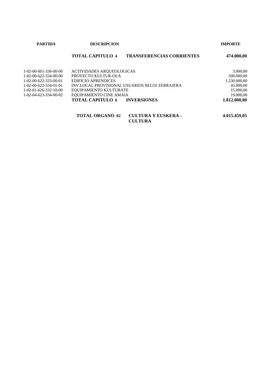| <b>PARTIDA</b>                      | <b>DESCRIPCION</b>                                          | <b>IMPORTE</b> |  |
|-------------------------------------|-------------------------------------------------------------|----------------|--|
|                                     | <b>TRANSFERENCIAS CORRIENTES</b><br><b>TOTAL CAPITULO 4</b> | 474.000.00     |  |
| $1 - 02 - 00 - 601 - 336 - 00 - 00$ | ACTIVIDADES ARQUEOLOGICAS                                   | 3.000,00       |  |

|                                     | <b>TOTAL CAPITULO 6 INVERSIONES</b>            | 1.812.000.00     |
|-------------------------------------|------------------------------------------------|------------------|
| 1-02-04-623-334-00-02               | EQUIPAMIENTO CINE AMAIA                        | 19.000.00        |
| $1 - 02 - 01 - 626 - 332 - 10 - 00$ | EQUIPAMIENTO KULTURATE                         | 15.000,00        |
| $1-02-00-622-334-01-01$             | INV.LOCAL PROVISIONAL USUARIOS RELOJ ZERRAJERA | 45.000,00        |
| 1-02-00-622-333-00-01               | EDIFICIO APRENDICES                            | 1.230.000,00     |
| 1-02-00-622-334-00-00               | PROYECTO KULTUR-OLA                            | 500.000,00       |
| 1-02-00-001-330-00-00               | <i>R</i> CH VIDI WEB IMOULDEDUCIN              | <b>J.</b> UUU.UU |

| <b>TOTAL ORGANO 02</b> | <b>CULTURA Y EUSKERA -</b> | 4.015.459,05 |
|------------------------|----------------------------|--------------|
|                        | <b>CULTURA</b>             |              |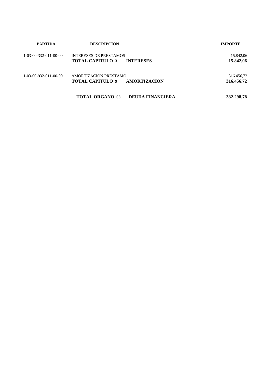| <b>PARTIDA</b>                      | <b>DESCRIPCION</b>                                                           | <b>IMPORTE</b>           |
|-------------------------------------|------------------------------------------------------------------------------|--------------------------|
| $1-03-00-332-011-00-00$             | <b>INTERESES DE PRESTAMOS</b><br><b>TOTAL CAPITULO 3</b><br><b>INTERESES</b> | 15.842,06<br>15.842,06   |
| $1 - 03 - 00 - 932 - 011 - 00 - 00$ | AMORTIZACION PRESTAMO<br><b>TOTAL CAPITULO 9</b><br>AMORTIZACION             | 316.456,72<br>316.456,72 |
|                                     | <b>TOTAL ORGANO 03</b><br><b>DEUDA FINANCIERA</b>                            | 332,298,78               |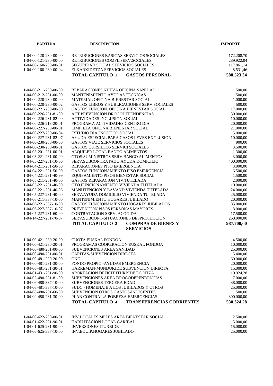| <b>PARTIDA</b>                                 | <b>DESCRIPCION</b>                                                            | <b>IMPORTE</b>         |
|------------------------------------------------|-------------------------------------------------------------------------------|------------------------|
| 1-04-00-120-230-00-00                          | RETRIBUCIONES BASICAS SERVICIOS SOCIALES                                      | 172.208,70             |
| 1-04-00-121-230-00-00                          | RETRIBUCIONES COMPL.SERV.SOCIALES                                             | 289.922,04             |
| 1-04-00-160-230-00-01                          | <b>SEGURIDAD SOCIAL SERVICIOS SOCIALES</b>                                    | 117.861,14             |
| 1-04-00-160-230-00-04                          | ELKARKIDETZA SERVICIOS SOCIALES                                               | 8.531,46               |
|                                                | <b>TOTAL CAPITULO 1</b><br><b>GASTOS PERSONAL</b>                             | 588.523,34             |
|                                                |                                                                               |                        |
| 1-04-00-211-230-00-00                          | REPARACIONES NUEVA OFICINA SANIDAD                                            | 1.500,00               |
| 1-04-00-212-231-00-00                          | MANTENIMIENTO AYUDAS TECNICAS                                                 | 500,00                 |
| 1-04-00-220-230-00-00                          | MATERIAL OFICINA BIENESTAR SOCIAL                                             | 1.000,00               |
| 1-04-00-220-230-00-02                          | GASTOS, LIBROS Y PUBLICACIONES SERV. SOCIALES                                 | 500,00                 |
| 1-04-00-221-230-00-00                          | GASTOS FUNCION. OFICINA BIENESTAR SOCIAL                                      | 17.000,00              |
| 1-04-00-226-231-81-00                          | ACT.PREVENCION DROGODEPENDENCIAS                                              | 30.000,00              |
| 1-04-00-226-231-82-00                          | <b>ACTIVIDADES INCLUSION SOCIAL</b>                                           | 10.000,00              |
| 1-04-00-226-213-20-01                          | PROGRAMA ACTIVIDADES CENTRO DIA                                               | 20.000,00              |
| 1-04-00-227-230-00-01                          | LIMPIEZA OFICINA BIENESTAR SOCIAL                                             | 21.000,00              |
| 1-04-00-227-230-00-04                          | ESTUDIO DIAGNOSTICO SOCIAL                                                    | 5.000,00               |
| 1-04-00-227-231-82-07                          | AYUDA ESPECIAL PARA CASOS LEVES EXCLUSION                                     | 10.000,00              |
| 1-04-00-230-230-00-00                          | <b>GASTOS VIAJE SERVICIOS SOCIALES</b>                                        | 900,00                 |
| 1-04-00-230-230-00-01                          | GASTOS CURSILLOS SERVICI SOCIALES                                             | 3.500,00               |
| 1-04-03-201-231-00-01                          | ALQUILER LOCAL BANCO ALIMENTOS                                                | 1.300,00               |
| 1-04-03-221-231-00-99<br>1-04-03-227-231-10-00 | GTOS.SUMINISTROS SERV.BANCO ALIMENTOS<br>SERV. SUBCONTRATADO AYUDA DOMICILIO  | 3.000,00               |
| 1-04-04-211-231-50-00                          | REPARACIONES PISO EMERGENCIA                                                  | 400.000,00<br>3.000,00 |
| 1-04-04-221-231-50-00                          | GASTOS FUNCIONAMIENTO PISO EMERGENCIA                                         | 6.500,00               |
| 1-04-04-221-231-40-99                          | EQUIPAMIENTO PISOS BIENESTAR SOCIAL                                           | 1.500,00               |
| 1-04-05-211-231-40-00                          | GASTOS REPARACION VIV.TUTELADA                                                | 2.000,00               |
| 1-04-05-221-231-40-00                          | GTO.FUNCIONAMIENTO VIVIENDA TUTELADA                                          | 10.000,00              |
| 1-04-05-221-231-40-06                          | MANUTENCION Y LAVAND. VIVIENDA TUTELADA                                       | 24.000,00              |
| 1-04-05-227-231-40-00                          | SERV.AYUDA DOMICILIO VIVIENDA TUTELADA                                        | 25.000,00              |
| 1-04-06-211-337-10-00                          | MANTENIMIENTO HOGARES JUBILADO                                                | 20.000,00              |
| 1-04-06-221-337-10-00                          | GASTOS FUNCIONAMIENTO HOGARES JUBILADOS                                       | 85.000,00              |
| 1-04-06-227-337-10-07                          | PREVENCION PISOS PERSONAS MAYORES                                             | 8.000,00               |
| 1-04-07-227-231-60-99                          | <b>CONTRATACION SERV. ACOGIDA</b>                                             | 17.500,00              |
| 1-04-14-227-231-70-07                          | SERV.SUBCONT-SITUACIONES DESPROTECCION                                        | 260.000,00             |
|                                                | <b>TOTAL CAPITULO 2</b><br><b>COMPRAS DE BIENES Y</b>                         | 987.700,00             |
|                                                | <b>SERVICIOS</b>                                                              |                        |
| 1-04-00-421-230-20-00                          | <b>CUOTA EUSKAL FONDOA</b>                                                    | 4.500,00               |
| 1-04-00-421-230-20-01                          | PROGRAMAS COOPERACION EUSKAL FONDOA                                           | 10.000,00              |
| 1-04-00-480-231-00-00                          | SUBVENCIONES AREA SANIDAD                                                     | 25.000,00              |
| 1-04-00-480-231-00-01                          | CARITAS-SUBVENCION DIRECTA                                                    | 5.400,00               |
| 1-04-00-481-230-20-00                          | ONG                                                                           | 60.000,00              |
| 1-04-00-481-231-30-00                          | FONDO PROPIO - AYUDAS EMERGENCIA                                              | 20.000,00              |
| 1-04-00-481-231-30-01                          | HARREMAN-MUNDUKIDE SUBVENCION DIRECTA                                         | 15.000,00              |
| 1-04-01-431-231-90-00                          | APORTACION DEFICIT ITURBIDE EGOITZA                                           | 19.924,28              |
| 1-04-02-480-231-81-00                          | SUBVENCIONES AREA DROGODEPENDENCIAS<br>SUBVENCIONES TERCERA EDAD              | 7.000,00<br>38.000,00  |
| 1-04-06-480-337-10-00                          |                                                                               |                        |
| 1-04-06-481-337-10-00<br>1-04-08-480-231-60-00 | SUDC - HOMENAJE A LOS JUBILADOS Y OTROS<br>SUBVENCION OTROS GASTOS-INDIGENTES | 25.000,00<br>500,00    |
| 1-04-09-480-231-30-00                          | PLAN CONTRA LA POBREZA-EMERGENCIAS                                            | 300.000,00             |
|                                                | <b>TOTAL CAPITULO 4</b><br><b>TRANSFERENCIAS CORRIENTES</b>                   | 530.324,28             |
|                                                |                                                                               |                        |
| 1-04-00-622-230-00-01                          | INV.LOCALES MPLES AREA BIENESTAR SOCIAL                                       | 2.500,00               |
| 1-04-01-622-231-90-01                          | HABILITACION LOCAL GARIBAI 1                                                  | 5.000,00               |
| 1-04-01-625-231-90-00                          | <b>INVERSIONES ITURBIDE</b>                                                   | 15.000,00              |
| 1-04-06-625-337-10-00                          | INV.EQUIP.HOGARES JUBILADO                                                    | 25.000,00              |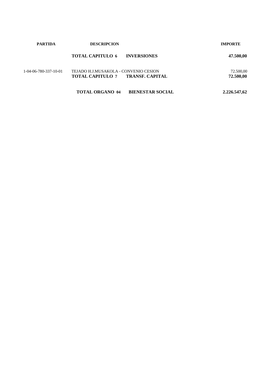| <b>PARTIDA</b>        | <b>DESCRIPCION</b>                                                               | <b>IMPORTE</b>         |
|-----------------------|----------------------------------------------------------------------------------|------------------------|
|                       | <b>TOTAL CAPITULO 6</b><br><b>INVERSIONES</b>                                    | 47.500,00              |
| 1-04-06-780-337-10-01 | TEJADO H.J.MUSAKOLA - CONVENIO CESION<br><b>TOTAL CAPITULO 7 TRANSF. CAPITAL</b> | 72.500,00<br>72.500,00 |
|                       | <b>BIENESTAR SOCIAL</b><br><b>TOTAL ORGANO 04</b>                                | 2,226,547,62           |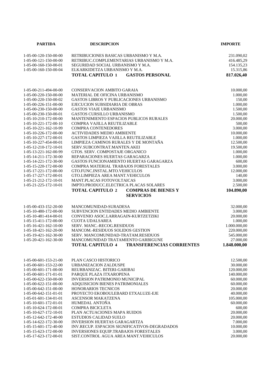| <b>PARTIDA</b>                                 | <b>DESCRIPCION</b>                                                                     | <b>IMPORTE</b>        |
|------------------------------------------------|----------------------------------------------------------------------------------------|-----------------------|
|                                                |                                                                                        |                       |
| 1-05-00-120-150-00-00                          | RETRIBUCIONES BASICAS URBANISMO Y M.A.                                                 | 231.090,02            |
| 1-05-00-121-150-00-00                          | RETRIBUC.COMPLEMENTARIAS URBANISMO Y M.A.                                              | 416.485,29            |
| 1-05-00-160-150-00-01                          | SEGURIDAD SOCIAL URBANISMO Y M.A.                                                      | 154.135,23            |
| 1-05-00-160-150-00-04                          | ELKARKIDETZA URBANISMO Y M.A.                                                          | 15.315,86             |
|                                                | <b>TOTAL CAPITULO 1</b><br><b>GASTOS PERSONAL</b>                                      | 817.026,40            |
|                                                |                                                                                        |                       |
| 1-05-00-211-494-00-00                          | CONSERVACION AMBITO GARAIA                                                             | 10.000,00             |
| 1-05-00-220-150-00-00                          | MATERIAL DE OFICINA URBANISMO                                                          | 1.000,00              |
| 1-05-00-220-150-00-02                          | <b>GASTOS LIBROS Y PUBLICACIONES URBANISMO</b>                                         | 150,00                |
| 1-05-00-226-151-00-00                          | EJECUCION SUBSIDIARIA DE OBRAS                                                         | 1.000,00              |
| 1-05-00-230-150-00-00                          | <b>GASTOS VIAJE URBANISMO</b>                                                          | 1.500,00              |
| 1-05-00-230-150-00-01                          | GASTOS CURSILLO URBANISMO                                                              | 1.500,00              |
| 1-05-10-210-172-00-00                          | MANTENIMIENTO ESPACIOS PUBLICOS RURALES                                                | 20.000,00             |
| 1-05-10-221-172-00-10                          | COMPRA VAJILLA REUTILIZABLE                                                            | 500,00                |
| 1-05-10-221-162-10-99                          | <b>COMPRA CONTENEDORES</b>                                                             | 3.000,00              |
| 1-05-10-226-172-00-00                          | ACTIVIDADES MEDIO AMBIENTE                                                             | 10.000,00             |
| 1-05-10-227-172-00-01                          | <b>GASTOS LIMPIEZA VAJILLA REUTILIZABLE</b>                                            | 1.000,00              |
| 1-05-10-227-454-00-01                          | LIMPIEZA CAMINOS RURALES Y DE MONTAÑA                                                  | 12.500,00             |
| 1-05-12-210-172-10-01                          | SERV.SUBCONTRAT.MANTEN.AKEI                                                            | 19.500.00             |
| 1-05-13-221-162-00-99                          | GTOS. SERV. COMPOSTAJE ORGANICO                                                        | 1.000,00              |
| 1-05-14-211-172-30-00                          | REPARACIONES HUERTAS GARAGARZA                                                         | 1.000,00              |
| 1-05-14-221-172-30-00                          | GASTOS FUNCIONAMIENTO HUERTAS GARAGARZA                                                | 600,00                |
| 1-05-15-220-172-00-00                          | COMPRA MATERIAL TRABAJOS FORESTALES                                                    | 3.000,00              |
| 1-05-17-221-172-00-00                          | GTO.FUNC.INSTAL.MTO.VEHICULOS                                                          | 12.000,00             |
| 1-05-17-227-172-00-01                          | GTO.LIMPIEZA AREA MANT.VEHICULOS                                                       | 140,00                |
| 1-05-21-212-172-10-01                          | MANT.PLACAS FOTOVOLTAICAS                                                              | 3.000,00              |
| 1-05-21-225-172-10-01                          | IMPTO.PRODUCC.ELECTRICA PLACAS SOLARES                                                 | 2.500,00              |
|                                                | <b>TOTAL CAPITULO 2</b><br><b>COMPRAS DE BIENES Y</b><br><b>SERVICIOS</b>              | 104.890,00            |
|                                                |                                                                                        |                       |
| 1-05-00-433-152-20-00                          | MANCOMUNIDAD-SURADESA                                                                  | 32.000,00             |
| 1-05-10-480-172-00-00                          | SUBVENCION ENTIDADES MEDIO AMBIENTE                                                    | 3.000,00              |
| 1-05-10-481-414-00-01                          | CONVENIO ASOC.LARRAGAIN-KURTZETZIKI                                                    | 20.000,00             |
| 1-05-15-411-172-00-00                          | <b>CUOTA UDALSAREA</b>                                                                 | 1.000,00              |
| 1-05-16-421-162-10-00                          | SERV. MANC.-RECOG.RESIDUOS                                                             | 1.000.000,00          |
| 1-05-18-421-162-20-00                          | MANCOM.-RESIDUOS SOLIDOS GESTION                                                       | 220.000,00            |
| 1-05-19-421-162-30-00                          | SERV. MANCOMUNIDAD-TRATAM.RESIDUOS                                                     | 545.000,00            |
| $1-05-20-421-162-30-00$                        | MANCOMUNIDAD TRATAMIENTO GARBIGUNE                                                     | 27.000,00             |
|                                                | <b>TOTAL CAPITULO 4</b><br><b>TRANSFERENCIAS CORRIENTES</b>                            | 1.848.000,00          |
|                                                |                                                                                        |                       |
| $1-05-00-601-153-21-00$                        | PLAN CASCO HISTORICO                                                                   | 12.500,00             |
| 1-05-00-601-153-22-00                          | URBANIZACION ZALDUSPE                                                                  | 30.000,00             |
| 1-05-00-601-171-00-00                          | REURBANIZAC. BITERI-GARIBAI                                                            | 120.000,00            |
| $1-05-00-601-171-01-01$                        | PARQUE PLAZA ITXAROPENA                                                                | 140.000,00            |
| 1-05-00-622-150-00-00                          | <b>INVERSION PATRIMONIO MUNICIPAL</b>                                                  | 60.000,00             |
| $1-05-00-622-151-00-00$                        | ADOUISICION BIENES PATRIMONIALES                                                       | 60.000,00             |
| 1-05-00-642-151-00-00                          | HONORARIOS TECNICOS                                                                    | 20.000,00             |
| $1-05-00-642-151-01-01$                        | PROYECTO EKOBOULEBARD ETXALUZE-EJE                                                     | 40.000,00             |
| 1-05-01-601-134-01-01                          | <b>ASCENSOR MAKATZENA</b>                                                              | 105.000,00            |
| $1-05-10-601-172-01-01$                        | HUMEDAL ANTOÑA                                                                         | 60.000,00             |
| 1-05-10-624-172-00-01                          | <b>COMPRA BICICLETA</b>                                                                | 600,00                |
| 1-05-10-627-172-10-01                          | PLAN ACTUACIONES MAPA RUIDOS                                                           | 20.000,00             |
| 1-05-12-642-172-40-00                          | <b>ESTUDIOS CALIDAD SUELO</b>                                                          | 20.000,00             |
| 1-05-14-622-172-30-00                          | <b>INVERSION HUERTAS GARAGARTZA</b>                                                    | 7.000,00              |
| 1-05-15-601-172-40-00<br>1-05-15-623-172-00-00 | INV.RECUP. ESPACIOS SIGNIFICATIVOS-DEGRADADOS<br>INVERSIONES EQUIP.TRABAJOS FORESTALES | 10.000,00<br>3.000,00 |
| 1-05-17-623-172-00-01                          | SIST.CONTROL AGUA AREA MANT.VEHICULOS                                                  | 20.000,00             |
|                                                |                                                                                        |                       |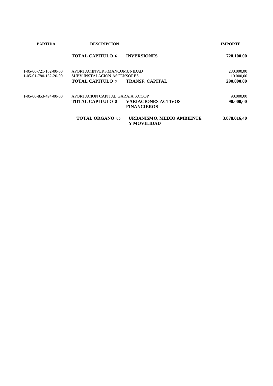| <b>PARTIDA</b>                                     | <b>DESCRIPCION</b>                                                                    |                                                  | <b>IMPORTE</b>                        |
|----------------------------------------------------|---------------------------------------------------------------------------------------|--------------------------------------------------|---------------------------------------|
|                                                    | <b>TOTAL CAPITULO 6</b>                                                               | <b>INVERSIONES</b>                               | 728.100,00                            |
| $1-05-00-721-162-00-00$<br>$1-05-01-780-152-20-00$ | APORTAC.INVERS.MANCOMUNIDAD<br>SUBV INSTALACION ASCENSORES<br><b>TOTAL CAPITULO 7</b> | <b>TRANSF. CAPITAL</b>                           | 280.000,00<br>10.000,00<br>290.000,00 |
| $1 - 05 - 00 - 853 - 494 - 00 - 00$                | APORTACION CAPITAL GARAIA S.COOP<br><b>TOTAL CAPITULO 8</b>                           | <b>VARIACIONES ACTIVOS</b><br><b>FINANCIEROS</b> | 90.000,00<br>90.000,00                |
|                                                    | <b>TOTAL ORGANO 05</b>                                                                | URBANISMO, MEDIO AMBIENTE<br>Y MOVILIDAD         | 3.878.016,40                          |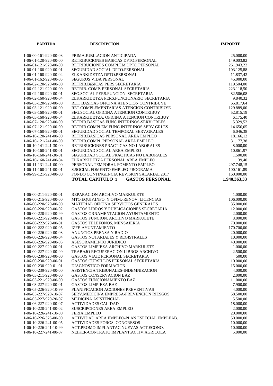| <b>PARTIDA</b>                                 | <b>DESCRIPCION</b>                                                                | <b>IMPORTE</b>         |
|------------------------------------------------|-----------------------------------------------------------------------------------|------------------------|
|                                                |                                                                                   |                        |
| 1-06-00-161-920-00-03                          | PRIMA JUBILACION ANTICIPADA                                                       | 25.000,00              |
| 1-06-01-120-920-00-00                          | RETRIBUCIONES BASICAS DPTO.PERSONAL                                               | 149.003,82             |
| 1-06-01-121-920-00-00                          | RETRIBUCIONES COMPLEM.DPTO.PERSONAL                                               | 261.943,22             |
| 1-06-01-160-920-00-01                          | SEGURIDAD SOCIAL DPTO.PERSONAL                                                    | 103.125,88             |
| 1-06-01-160-920-00-04                          | ELKARKIDETZA DPTO.PERSONAL                                                        | 11.837,42              |
| 1-06-01-162-920-00-05                          | <b>SEGUROS VIDA PERSONAL</b>                                                      | 45.000,00              |
| 1-06-02-120-920-00-00                          | RETRIB.BáSICAS PERS.SECRETARIA                                                    | 119.504,00             |
| 1-06-02-121-920-00-00                          | RETRIB. COMP. PERSONAL SECRETARIA                                                 | 223.118,50             |
| 1-06-02-160-920-00-01                          | SEG.SOCIAL PERS.FUNCION. SECRETARIA                                               | 82.506,08              |
| 1-06-02-160-920-00-04                          | ELKARKIDETZA PERS.FUNCIONARIO SECRETARIA                                          | 9.840,32               |
| 1-06-03-120-920-00-00<br>1-06-03-121-920-00-00 | RET. BASICAS OFICINA ATENCIÓN CONTRIBUYE                                          | 65.817,64              |
|                                                | RET.COMPLEMENTARIAS ATENCION CONTRIBUYE                                           | 129.889,00             |
| 1-06-03-160-920-00-01<br>1-06-03-160-920-00-04 | SEG.SOCIAL OFICINA ATENCION CONTRIBUY<br>ELKARKIDETZA. OFICINA ATENCION CONTRIBUY | 52.815,19              |
| 1-06-07-120-920-00-00                          | RETRIB.BASICAS.FUNC.INTERINOS-SERV.GRLES                                          | 6.175,40<br>5.329,52   |
| 1-06-07-121-920-00-00                          | RETRIB.COMPLEM.FUNC.INTERINOS SERV.GRLES                                          | 14.656,05              |
| 1-06-07-160-920-00-01                          | SEGURIDAD SOCIAL TEMPORAL SERV.GRALES                                             | 6.046,38               |
| 1-06-10-120-241-00-00                          | RETRIB.BASICAS PERSONAL AREA EMPLEO                                               | 18.166,12              |
| 1-06-10-121-241-00-00                          | RETRIB.COMPL.PERSONAL AREA EMPLEO                                                 | 31.177,38              |
| 1-06-10-141-241-30-00                          | RETRIBUCIONES PRACTICAS NO LABORALES                                              | 8.000,00               |
| 1-06-10-160-241-00-01                          | SEGURIDAD SOCIAL AREA EMPLEO                                                      | 10.861,97              |
| 1-06-10-160-241-30-01                          | SEGURIDAD SOCIAL PRACTICAS NO LABORALES                                           | 1.500,00               |
| 1-06-10-160-241-00-04                          | ELKARKIDETZA PERSONAL AREA EMPLEO                                                 | 1.139,40               |
| 1-06-11-131-241-00-00                          | PERSONAL TEMPORAL FOMENTO EMPLEO                                                  | 297.748,15             |
| 1-06-11-160-241-00-01                          | S.SOCIAL FOMENTO EMPLEO PROGRAMA                                                  | 100.161,89             |
| 1-06-99-121-920-00-00                          | FONDO CONTINGENCIA REVISION SALARIAL 2017                                         | 160.000,00             |
|                                                | <b>TOTAL CAPITULO 1</b><br><b>GASTOS PERSONAL</b>                                 | 1.940.363,33           |
|                                                |                                                                                   |                        |
| 1-06-00-211-920-00-01                          | REPARACION ARCHIVO MARKULETE                                                      | 1.000,00               |
| 1-06-00-215-920-00-00                          | MTO.EQUIP.INFO. Y OFIM.-RENOV. LICENCIAS                                          | 106.000,00             |
| 1-06-00-220-920-00-00                          | MATERIAL OFICINA SERVICIOS GENERALES                                              | 35.000,00              |
| 1-06-00-220-920-00-02                          | GASTOS LIBROS Y PUBLICACIONES SECRETARIA                                          | 12.000,00              |
| 1-06-00-220-920-00-99                          | GASTOS ORNAMENTACION AYUNTAMIENTO                                                 | 2.000,00               |
| 1-06-00-221-920-00-01                          | <b>GASTOS FUNCION. ARCHIVO MARKULETE</b>                                          | 8.000,00               |
| 1-06-00-222-920-00-01                          | GASTOS TELEFONOS, MENSAJERIA                                                      | 70.000,00              |
| 1-06-00-222-920-00-05                          | IZFE-AYUNTAMIENTO                                                                 | 170.700,00             |
| 1-06-00-226-920-00-03                          | ANUNCIOS PRENSA Y RADIO                                                           | 20.000,00              |
| 1-06-00-226-920-00-04                          | <b>GASTOS NOTARIALES Y REGISTRALES</b>                                            | 10.000,00              |
| 1-06-00-226-920-00-05                          | ASESORAMIENTO JURIDICO                                                            | 40.000,00              |
| 1-06-00-227-920-00-01                          | GASTOS LIMPIEZA ARCHIVO MARKULETE                                                 | 1.000,00               |
| 1-06-00-227-920-00-99                          | TRABAJO RECUPERACION LIBROS ARCHIVO                                               | 2.500,00               |
| 1-06-00-230-920-00-00                          | <b>GASTOS VIAJE PERSONAL SECRETARIA</b>                                           | 500,00                 |
| 1-06-00-230-920-00-01                          | GASTOS CURSILLOS PERSONAL SECRETARIA                                              | 10.000,00              |
| 1-06-00-230-920-01-01                          | DIAGNOSTICO FORMACION                                                             | 15.000,00              |
| 1-06-00-239-920-00-00                          | ASISTENCIA TRIBUNALES-INDEMNIZACION                                               | 4.000,00               |
| 1-06-03-211-920-00-00                          | <b>GASTOS CONSERVACION BAZ</b>                                                    | 2.000,00               |
| 1-06-03-221-920-00-00                          | GASTOS FUNCIONAMIENTO BAZ                                                         | 11.000,00              |
| 1-06-03-227-920-00-01                          | <b>GASTOS LIMPIEZA BAZ</b>                                                        | 7.900,00               |
| 1-06-05-226-920-10-99                          | PLANIFICACION ACCIONES PREVENTIVAS                                                | 4.000,00               |
| 1-06-05-227-920-10-07                          | SERV.MEDICINA EMPRESA-PREVENCION RIESGOS                                          | 58.500,00              |
| 1-06-05-227-920-20-07                          | MEDICINA ASISTENCIAL                                                              | 5.500,00               |
| 1-06-06-227-920-00-07                          | <b>ACTIVIDADES CALIDAD</b>                                                        | 18.000,00              |
| 1-06-10-220-241-00-02                          | <b>SUSCRIPCIONES AREA EMPLEO</b>                                                  | 2.000,00               |
| 1-06-10-226-241-10-00<br>1-06-10-226-326-00-00 | <b>FERIA EMPLEO</b><br>ACTIVIDAD. AREA EMPLEO-PLAN ESPECIAL EMPLEAB.              | 20.000,00<br>50.000,00 |
| 1-06-10-226-241-00-05                          | ACTIVIDADES FOROS, CONGRESOS                                                      | 10.000,00              |
| 1-06-10-226-241-10-99                          | ACT.PROMO.IMPLANTAC.NUEVAS ACT.ECONO.                                             | 10.000,00              |
| 1-06-10-227-241-00-07                          | NEIKER-CONTRATO IMPLANT.ACTIV.AGRICOLA                                            | 5.000,00               |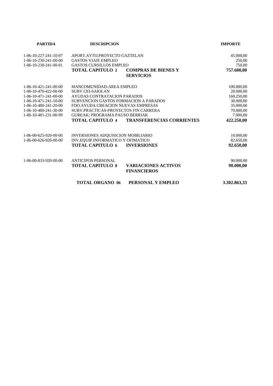| <b>PARTIDA</b>                      | <b>DESCRIPCION</b>                    |                                                  | <b>IMPORTE</b> |
|-------------------------------------|---------------------------------------|--------------------------------------------------|----------------|
| $1-06-10-227-241-10-07$             | APORT.AYTO.PROYECTO GAZTELAN          |                                                  | 45.000,00      |
| $1-06-10-230-241-00-00$             | <b>GASTOS VIAJE EMPLEO</b>            |                                                  | 250,00         |
| $1-06-10-230-241-00-01$             | <b>GASTOS CURSILLOS EMPLEO</b>        |                                                  | 750,00         |
|                                     | <b>TOTAL CAPITULO 2</b>               | <b>COMPRAS DE BIENES Y</b>                       | 757.600,00     |
|                                     |                                       | <b>SERVICIOS</b>                                 |                |
| $1 - 06 - 10 - 421 - 241 - 00 - 00$ | MANCOMUNIDAD-AREA EMPLEO              |                                                  | 100.000,00     |
| 1-06-10-470-422-00-00               | SUBV.CEI-SAIOLAN                      |                                                  | 20.000,00      |
| $1-06-10-471-241-00-00$             | AYUDAS CONTRATACION PARADOS           |                                                  | 160.250,00     |
| $1-06-10-471-241-10-00$             | SUBVENCION GASTOS FORMACION A PARADOS |                                                  | 30.000,00      |
| 1-06-10-480-241-20-00               | FDO.AYUDA CREACION NUEVAS EMPRESAS    |                                                  | 35.000,00      |
| 1-06-10-480-241-30-00               | SUBV.PRACTICAS-PROYECTOS FIN CARRERA  |                                                  | 70.000,00      |
| 1-06-10-481-231-00-99               | <b>GUREAK: PROGRAMA PAUSO BERRIAK</b> |                                                  | 7.000,00       |
|                                     | TOTAL CAPITULO 4                      | <b>TRANSFERENCIAS CORRIENTES</b>                 | 422.250,00     |
| 1-06-00-625-920-00-00               | INVERSIONES ADQUISICION MOBILIARIO    |                                                  | 10.000,00      |
| 1-06-00-626-920-00-00               | INV.EQUIP.INFORMATICO Y OFIMATICO     |                                                  | 82.650,00      |
|                                     | TOTAL CAPITULO 6                      | <b>INVERSIONES</b>                               | 92.650,00      |
| 1-06-00-833-920-00-00               | <b>ANTICIPOS PERSONAL</b>             |                                                  | 90.000,00      |
|                                     | <b>TOTAL CAPITULO 8</b>               | <b>VARIACIONES ACTIVOS</b><br><b>FINANCIEROS</b> | 90.000,00      |
|                                     | <b>TOTAL ORGANO 06</b>                | PERSONAL Y EMPLEO                                | 3.302.863,33   |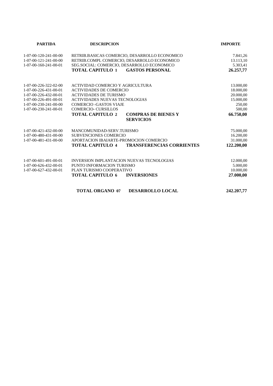| <b>PARTIDA</b>                      | <b>DESCRIPCION</b>                                          | <b>IMPORTE</b> |
|-------------------------------------|-------------------------------------------------------------|----------------|
| 1-07-00-120-241-00-00               | RETRIB.BASICAS COMERCIO, DESARROLLO ECONOMICO               | 7.841,26       |
| 1-07-00-121-241-00-00               | RETRIB.COMPL COMERCIO. DESARROLLO ECONOMICO                 | 13.113,10      |
| 1-07-00-160-241-00-01               | SEG.SOCIAL: COMERCIO, DESARROLLO ECONOMICO                  | 5.303,41       |
|                                     | <b>TOTAL CAPITULO 1 GASTOS PERSONAL</b>                     | 26.257,77      |
| 1-07-00-226-322-02-00               | ACTIVIDAD COMERCIO Y AGRICULTURA                            | 13.000,00      |
| 1-07-00-226-431-00-01               | ACTIVIDADES DE COMERCIO                                     | 18.000,00      |
| 1-07-00-226-432-00-01               | <b>ACTIVIDADES DE TURISMO</b>                               | 20.000,00      |
| 1-07-00-226-491-00-01               | <b>ACTIVIDADES NUEVAS TECNOLOGIAS</b>                       | 15.000,00      |
| $1-07-00-230-241-00-00$             | <b>COMERCIO - GASTOS VIAJE</b>                              | 250,00         |
| 1-07-00-230-241-00-01               | <b>COMERCIO- CURSILLOS</b>                                  | 500,00         |
|                                     | <b>TOTAL CAPITULO 2</b><br><b>COMPRAS DE BIENES Y</b>       | 66.750,00      |
|                                     | <b>SERVICIOS</b>                                            |                |
| $1 - 07 - 00 - 421 - 432 - 00 - 00$ | MANCOMUNIDAD-SERV.TURISMO                                   | 75.000,00      |
| 1-07-00-480-431-00-00               | <b>SUBVENCIONES COMERCIO</b>                                | 16.200,00      |
| $1 - 07 - 00 - 481 - 431 - 00 - 00$ | APORTACION IBAIARTE-PROMOCION COMERCIO                      | 31.000,00      |
|                                     | <b>TOTAL CAPITULO 4</b><br><b>TRANSFERENCIAS CORRIENTES</b> | 122.200,00     |
| 1-07-00-601-491-00-01               | INVERSION IMPLANTACION NUEVAS TECNOLOGIAS                   | 12.000,00      |
| 1-07-00-626-432-00-01               | PUNTO INFORMACION TURISMO                                   | 5.000,00       |
| 1-07-00-627-432-00-01               | PLAN TURISMO COOPERATIVO                                    | 10.000,00      |
|                                     | <b>TOTAL CAPITULO 6</b><br><b>INVERSIONES</b>               | 27.000,00      |
|                                     | <b>TOTAL ORGANO 07</b><br>DESARROLLO LOCAL                  | 242.207,77     |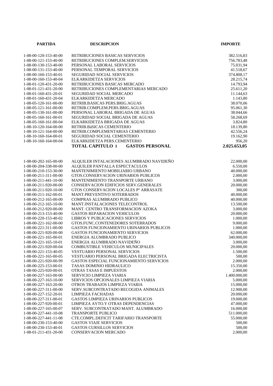| <b>PARTIDA</b>          | <b>DESCRIPCION</b>                                | <b>IMPORTE</b> |
|-------------------------|---------------------------------------------------|----------------|
|                         |                                                   |                |
| 1-08-00-120-153-40-00   | RETRIBUCIONES BASICAS SERVICIOS                   | 382.516,83     |
| 1-08-00-121-153-40-00   | RETRIBUCIONES COMPLEM.SERVICIOS                   | 756.783,48     |
| 1-08-00-130-153-40-00   | PERSONAL LABORAL SERVICIOS                        | 75.031,94      |
| 1-08-00-131-153-40-00   | PERSONAL TEMPORAL SERVICIOS                       | 41.518,67      |
| 1-08-00-160-153-40-01   | SEGURIDAD SOCIAL SERVICIOS                        | 374.808,17     |
| 1-08-00-160-153-40-04   | ELKARKIDETZA SERVICIOS                            | 28.215,74      |
| 1-08-01-120-431-20-00   | RETRIBUCIONES BASICAS MERCADO                     | 14.793,94      |
| 1-08-01-121-431-20-00   | RETRIBUCIONES COMPLEMENTARIAS MERCADO             | 25.611,20      |
| 1-08-01-160-431-20-01   | SEGURIDAD SOCIAL MERCADO                          | 11.144,63      |
| 1-08-01-160-431-20-04   | ELKARKIDETZA MERCADO                              | 1.143,80       |
| 1-08-05-120-161-00-00   | RETRIB.BASICAS PERS.BRIG.AGUAS                    | 38.070,06      |
| 1-08-05-121-161-00-00   | RETRIB.COMPLEM.PERS.BRIG.AGUAS                    | 95.061,30      |
| 1-08-05-130-161-00-00   | PERSONAL LABORAL BRIGADA DE AGUAS                 | 38.044,66      |
| 1-08-05-160-161-00-01   | SEGURIDAD SOCIAL BRIGADA DE AGUAS                 | 58.268,69      |
| 1-08-05-160-161-00-04   | ELKARKIDETZA BRIGADA DE AGUAS                     | 3.824,80       |
| 1-08-10-120-164-00-00   | RETRIB.BáSICAS CEMENTERIO                         | 18.139,80      |
| 1-08-10-121-164-00-00   | RETRIB.COMPLEMENTARIAS CEMENTERIO                 | 42.556,24      |
| 1-08-10-160-164-00-01   | SEGURIDAD SOCIAL CEMENTERIO                       | 19.162,90      |
| 1-08-10-160-164-00-04   | ELKARKIDETZA PERS.CEMENTERIO                      | 956,20         |
|                         | <b>TOTAL CAPITULO 1</b><br><b>GASTOS PERSONAL</b> | 2.025.653,05   |
|                         |                                                   |                |
| 1-08-00-202-165-00-00   | ALQUILER INTALACIONES ALUMBRADO NAVIDEÑO          | 22.000,00      |
| 1-08-00-204-338-00-00   | ALQUILER PANTALLA ESPECTACULOS                    | 6.550,00       |
| 1-08-00-210-153-30-00   | MANTENIMIENTO MOBILIARIO URBANO                   | 40.000,00      |
| 1-08-00-211-311-00-00   | GTOS.CONSERVACION URINARIOS PUBLICOS              | 2.000,00       |
| 1-08-00-211-441-10-00   | MANTENIMIENTO TRANSPORTE URBANO                   | 3.000,00       |
| 1-08-00-211-920-00-00   | CONSERVACION EDIFICIOS SERV.GENERALES             | 20.000,00      |
| 1-08-00-211-920-10-00   | GTOS CONSERVACION LOCALES Pº ARRASATE             | 300,00         |
| $1-08-00-211-162-00-01$ | <b>MANT.PREVENTIVO SOTERRADOS</b>                 | 40.000,00      |
| 1-08-00-212-165-00-00   | COMPRAS ALUMBRADO PUBLICO                         | 40.000,00      |
| 1-08-00-212-165-10-00   | MANT.INSTALACIONES TELECONTROL                    | 13.500,00      |
| 1-08-00-212-920-00-00   | MANT. CENTRO TRANSFORMACION AZOKA                 | 3.000,00       |
| 1-08-00-213-153-40-00   | <b>GASTOS REPARACION VEHICULOS</b>                | 20.000,00      |
| 1-08-00-220-153-40-02   | LIBROS Y PUBLICACIONES SERVICIOS                  | 1.000,00       |
| 1-08-00-221-162-00-00   | GTOS.FUNC.CONTENEDORES SOTERRADOS                 | 9.000,00       |
| 1-08-00-221-311-00-00   | <b>GASTOS FUNCIONAMIENTO URINARIOS PUBLICOS</b>   | 1.000.00       |
| 1-08-00-221-920-00-00   | <b>GASTOS FUNCIONAMIENTO SERVICIOS</b>            | 62.000,00      |
| 1-08-00-221-165-00-01   | ENERGIA ALUMBRADO PUBLICO                         | 340.000,00     |
| $1-08-00-221-165-10-01$ | ENERGIA ALUMBRADO NAVIDEÑO                        | 3.000,00       |
| 1-08-00-221-920-00-04   | <b>COMBUSTIBLE VEHICULOS MUNICIPALES</b>          | 20.000,00      |
| 1-08-00-221-153-40-05   | <b>VESTUARIO PERSONAL SERVICIOS</b>               | 1.500,00       |
| 1-08-00-221-165-00-05   | VESTUARIO PERSONAL BRIGADA ELECTRICISTA           | 500,00         |
| 1-08-00-221-920-00-99   | GASTOS ESPECIAL FUNCIONAMIENTO SERVICIOS          | 2.000,00       |
| 1-08-00-225-153-00-01   | TASAS DOMINIO HIDRAULICO                          | 15.350,00      |
| 1-08-00-225-920-00-01   | OTRAS TASAS E IMPUESTOS                           | 2.000,00       |
| 1-08-00-227-163-00-00   | SERVICIO LIMPIEZA VIARIA                          | 1.400.000,00   |
| $1-08-00-227-163-10-00$ | SERVICIOS OPCIONALES LIMPIEZA VIARIA              | 5.000,00       |
| 1-08-00-227-163-20-00   | OTROS TRABAJOS LIMPIEZA VIARIA                    | 15.000,00      |
| 1-08-00-227-311-00-00   | SERV. SUBCONTRATADO RECOGIDA ANIMALES             | 12.900,00      |
| 1-08-00-227-152-20-01   | LIMPIEZA FACHADAS                                 | 20.000,00      |
| 1-08-00-227-311-00-01   | <b>GASTOS LIMPIEZA URINARIOS PUBLICOS</b>         | 19.000,00      |
| 1-08-00-227-920-00-01   | LIMPIEZA AYTO.Y OTRAS DEPENDENCIAS                | 47.000,00      |
| 1-08-00-227-165-00-07   | SERV. SUBCONTRATADO MANT. ALUMBRADO               | 16.000,00      |
| 1-08-00-227-441-10-08   | <b>TRANSPORTE PUBLICO</b>                         | 511.000,00     |
| 1-08-00-227-441-11-08   | CTE.COMPL.DEFICIT TARIFARIO TRANSPORTE            | 55.000,00      |
| 1-08-00-230-153-40-00   | <b>GASTOS VIAJE SERVICIOS</b>                     | 500,00         |
| 1-08-00-230-153-40-01   | <b>GASTOS CURSILLOS SERVICIOS</b>                 | 500,00         |
| 1-08-01-211-431-20-00   | <b>CONSERVACION MERCADO</b>                       | 2.000,00       |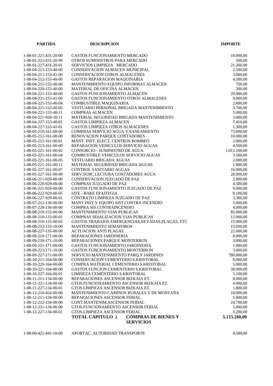| <b>PARTIDA</b>          | <b>DESCRIPCION</b>                                    | <b>IMPORTE</b> |
|-------------------------|-------------------------------------------------------|----------------|
|                         |                                                       |                |
| 1-08-01-221-431-20-00   | <b>GASTOS FUNCIONAMIENTO MERCADO</b>                  | 10.000,00      |
| 1-08-01-221-431-20-99   | OTROS SUMINISTROS PARA MERCADO                        | 500,00         |
| 1-08-01-227-431-20-01   | SERVICIOS LIMPIEZA MERCADO                            | 21.300,00      |
| 1-08-04-211-153-40-00   | CONSERVACION ALMACEN MUNICIPAL                        | 2.500,00       |
| $1-08-04-211-153-41-00$ | CONSERVACION OTROS ALMACENES                          | 3.000,00       |
| 1-08-04-212-153-40-00   | <b>GASTOS REPARACION MAQUINARIA</b>                   | 4.500,00       |
| 1-08-04-215-153-40-00   | MANTENIMIENTO EQUIPO INFORMAT. ALMACEN                | 750,00         |
| 1-08-04-220-153-40-00   | MATERIAL DE OFICINA ALMACEN                           | 300,00         |
| 1-08-04-221-153-40-00   | <b>GASTOS FUNCIONAMIENTO ALMACEN</b>                  | 20.000,00      |
| 1-08-04-221-153-41-00   | GASTOS FUNCIONAMIENTO OTROS ALMACENES                 | 9.000,00       |
| 1-08-04-221-153-40-04   | COMBUSTIBLE MAQUINARIA                                | 2.600,00       |
| 1-08-04-221-153-40-05   | VESTUARIO PERSONAL BRIGADA MANTENIMIENTO              | 3.700,00       |
| $1-08-04-221-153-40-11$ | <b>COMPRAS ALMACEN</b>                                | 5.000,00       |
| 1-08-04-221-920-10-11   | MATERIAL SEGURIDAD BRIGADA MANTENIMIENTO              | 3.000,00       |
| 1-08-04-227-153-40-01   | <b>GASTOS LIMPIEZA ALMACEN</b>                        | 7.410,00       |
| 1-08-04-227-153-41-01   | GASTOS LIMPIEZA OTROS ALMACENES                       | 1.300,00       |
| 1-08-05-210-161-00-00   | COMPRAS SERVICIO AGUA Y SANEAMIENTO                   | 73.000,00      |
| 1-08-05-212-161-00-00   | RENOVACION PARQUE CONTADORES                          | 10.000,00      |
| 1-08-05-212-161-00-01   | MANT. INST. ELECT. CENTROS BOMBEO                     | 2.000,00       |
| 1-08-05-213-161-00-00   | REPARACION VEHICULOS SERVICIO AGUAS                   | 4.500,00       |
| 1-08-05-221-161-00-02   | CONSORCIO - SUMINISTRO DE AGUA                        | 1.011.100,00   |
| 1-08-05-221-161-00-04   | <b>COMBUSTIBLE VEHICULOS SERVICIO AGUAS</b>           | 3.500,00       |
| 1-08-05-221-161-00-05   | <b>VESTUARIO BRIGADA AGUAS</b>                        | 2.000,00       |
| $1-08-05-221-161-00-11$ | MATERIAL SEGURIDAD BRIGADA AGUAS                      | 1.000,00       |
| 1-08-05-227-161-00-07   | CONTROL SANITARIO AGUAS                               | 16.000,00      |
| 1-08-05-227-161-00-99   | SERV.SUBC.LECTURA CONTADORES AGUA                     | 28.000,00      |
| 1-08-06-211-929-00-00   | CONSERVACION JUZGADO DE PAZ                           | 2.000,00       |
| 1-08-06-220-929-00-00   | COMPRAS JUZGADO DE PAZ                                | 4.500,00       |
| 1-08-06-221-929-00-00   | GASTOS FUNCIONAMIENTO JUZGADO DE PAZ                  | 9.000,00       |
| 1-08-06-222-929-00-05   | IZFE - BAKE EPAITEGIA                                 | 8.100,00       |
| 1-08-06-227-929-00-01   | CONTRATO LIMPIEZA JUZGADO DE PAZ                      | 3.300,00       |
| 1-08-07-212-136-00-00   | MANT.INST.Y EQUIPO SIST.CONTRA INCENDIO               | 5.000,00       |
| 1-08-07-220-136-00-00   | COMPRA SIS.CONTRAINCENDIO                             | 4.000,00       |
| 1-08-08-210-153-00-00   | <b>MANTENIMIENTO VIAS PUBLICAS</b>                    | 85.000,00      |
| 1-08-08-210-133-00-01   | COMPRAS SEñALIZACION VIAS PUBLICAS                    | 12.000,00      |
| 1-08-08-210-135-00-02   | GASTOS TRABAJOS EMERGENCIAS, NEVADAS, PLAGAS, ETC     | 15.000,00      |
| 1-08-08-212-133-10-00   | <b>MANTENIMIENTO SEMAFOROS</b>                        | 15.000,00      |
| 1-08-08-227-135-00-99   | <b>ACTUACION ANTI PLAGAS</b>                          | 22.000,00      |
| 1-08-09-210-171-00-00   | REPARACIONES JARDINERIA                               | 8.000,00       |
| 1-08-09-210-171-10-00   | REPARACIONES PARQUE MONTERRON                         | 3.000,00       |
| 1-08-09-221-171-00-00   | GASTOS FUNCIONAMIENTO JARDINERIA                      | 1.000,00       |
| 1-08-09-221-171-10-00   | <b>GASTOS FUNCIONAMIENTO MONTERRON</b>                | 3.000,00       |
| 1-08-09-227-171-00-00   | SERVICIO MANTENIMIENTO PARQ.Y JARDINES                | 780.000,00     |
| 1-08-10-211-164-00-00   | CONSERVACION CEMENTERIO S.KRISTOBAL                   | 8.000,00       |
| 1-08-10-220-164-00-00   | COMPRA MATERIAL CEMENTERIO S.KRISTOBAL                | 5.000,00       |
| 1-08-10-221-164-00-00   | GASTOS FUNCION.CEMENTERIO S.KRISTOBAL                 | 38.000,00      |
| 1-08-10-227-164-00-01   | LIMPIEZA CEMENTERIO S.KRISTOBAL                       | 5.100,00       |
| 1-08-11-211-134-00-00   | REPARACIONES ASCENSOR BIZKAIA ET.                     | 8.000,00       |
| 1-08-11-221-134-00-00   | GTOS.FUNCIONAMIENTO ASCENSOR BIZKAIA ET.              | 4.000,00       |
| 1-08-11-227-134-00-01   | GTOS.LIMPIEZA ASCENSOR BIZKAIA ET.                    | 1.800,00       |
| 1-08-12-210-454-00-00   | MANTENIMIENTO CAMINOS RURALES Y DE MONTAÑA            | 10.000,00      |
| 1-08-12-211-134-00-00   | REPARACIONES ASCENSOR FERIAL                          | 5.000,00       |
| 1-08-12-212-134-00-00   | CONT.MANTENIM.ASCENSOR FERIAL                         | 24.700,00      |
| $1-08-12-221-134-00-00$ | GTOS.FUNCIONAMIENTO ASCENSOR FERIAL                   | 5.000,00       |
| 1-08-12-227-134-00-01   | GTOS.LIMPIEZA ASCENSOR FERIAL                         | 3.200,00       |
|                         | <b>TOTAL CAPITULO 2</b><br><b>COMPRAS DE BIENES Y</b> | 5.115.260,00   |
|                         | <b>SERVICIOS</b>                                      |                |

1-08-00-421-441-10-00 APORTAC. AUTORIDAD TRANSPORTE 4.500,00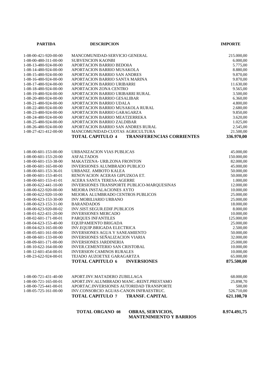| <b>PARTIDA</b>                                 | <b>DESCRIPCION</b>                                                       | <b>IMPORTE</b>         |
|------------------------------------------------|--------------------------------------------------------------------------|------------------------|
|                                                |                                                                          |                        |
| 1-08-00-421-920-00-00                          | MANCOMUNIDAD-SERVICIO GENERAL                                            | 215.000,00             |
| 1-08-00-480-311-00-00                          | <b>SUBVENCION KAONBI</b>                                                 | 6.000,00               |
| 1-08-13-480-924-00-00                          | APORTACION BARRIO BEDOñA                                                 | 5.775,00               |
| 1-08-14-480-924-00-00                          | APORTACION BARRIO MUSAKOLA                                               | 8.880,00               |
| 1-08-15-480-924-00-00                          | APORTACION BARRIO SAN ANDRES                                             | 9.870,00               |
| 1-08-16-480-924-00-00                          | APORTACION BARRIO SANTA MARINA                                           | 9.870,00               |
| 1-08-17-480-924-00-00                          | APORTACION BARRIO URIBARRI                                               | 11.630,00              |
| 1-08-18-480-924-00-00                          | APORTACION ZONA CENTRO                                                   | 9.565,00               |
| 1-08-19-480-924-00-00                          | APORTACION BARRIO URIBARRI RURAL                                         | 3.500,00               |
| 1-08-20-480-924-00-00                          | APORTACION BARRIO GESALIBAR                                              | 6.360,00               |
| 1-08-21-480-924-00-00                          | APORTACION BARRIO UDALA                                                  | 4.800,00               |
| 1-08-22-480-924-00-00                          | APORTACION BARRIO MUSAKOLA RURAL                                         | 2.680,00               |
| 1-08-23-480-924-00-00                          | APORTACION BARRIO GARAGARZA                                              | 9.850,00               |
| 1-08-24-480-924-00-00                          | APORTACION BARRIO MEATZERREKA                                            | 3.620,00               |
| 1-08-25-480-924-00-00                          | APORTACION BARRIO ZALDIBAR                                               | 1.025,00               |
| 1-08-26-480-924-00-00                          | APORTACION BARRIO SAN ANDRES RURAL                                       | 2.545,00               |
| 1-08-27-421-412-00-00                          | MANCOMUNIDAD-CUOTAS AGRICULTURA                                          | 21.500,00              |
|                                                | <b>TRANSFERENCIAS CORRIENTES</b><br><b>TOTAL CAPITULO 4</b>              | 336.970,00             |
|                                                |                                                                          |                        |
| $1-08-00-601-153-00-00$                        | URBANIZACION VIAS PUBLICAS                                               | 45.000,00              |
| 1-08-00-601-153-20-00                          | <b>ASFALTADOS</b>                                                        | 150.000,00             |
| 1-08-00-601-153-38-00                          | MAKATZENA- URB.ZONA FRONTON                                              | 82.000,00              |
| 1-08-00-601-165-00-00                          | <b>INVERSIONES ALUMBRADO PUBLICO</b>                                     | 45.000,00              |
| 1-08-00-601-153-36-01                          | URBANIZ. AMBOTO KALEA                                                    |                        |
| 1-08-00-601-153-40-01                          | RENOVACION ACERAS GIPUZKOA ET.                                           | 50.000,00<br>50.000,00 |
| 1-08-00-601-153-41-01                          | ACERA SANTA TERESA-AGERRE                                                |                        |
|                                                |                                                                          | 1.000,00               |
| 1-08-00-622-441-10-00<br>1-08-00-622-920-00-00 | INVERSIONES TRANSPORTE PUBLICO-MARQUESINAS                               | 12.000,00              |
|                                                | MEJORA INSTALACIONES AYTO                                                | 10.000,00              |
| 1-08-00-622-920-10-00<br>1-08-00-623-153-30-00 | MEJORA ALUMBRADO CENTROS PUBLICOS                                        | 25.000,00              |
|                                                | <b>INV.MOBILIARIO URBANO</b>                                             | 25.000,00              |
| 1-08-00-623-153-31-00                          | <b>BARANDADOS</b>                                                        | 18.000,00              |
| 1-08-00-623-920-00-02                          | INV.SIST.SEGUR.EDIF.PUBLICOS                                             | 8.000,00               |
| 1-08-01-622-431-20-00                          | <b>INVERSIONES MERCADO</b>                                               | 10.000,00              |
| 1-08-02-601-171-00-01                          | PARQUES INFANTILES                                                       | 125.000,00             |
| 1-08-04-623-153-40-00                          | EQUIPAMIENTO BRIGADA                                                     | 25.000,00              |
| 1-08-04-623-165-00-00                          | INV.EQUIP.BRIGADA ELECTRICA                                              | 2.500,00               |
| $1-08-05-601-161-00-00$                        | INVERSIONES AGUA Y SANEAMIENTO<br><b>INVERSIONES SEÑALIZACION VIARIA</b> | 50.000,00              |
| 1-08-08-601-133-00-00                          |                                                                          | 32.000,00              |
| 1-08-09-601-171-00-00                          | <b>INVERSIONES JARDINERIA</b>                                            | 25.000.00              |
| $1 - 08 - 10 - 622 - 164 - 00 - 00$            | <b>INVER.CEMENTERIO SAN CRISTOBAL</b>                                    | 10.000,00              |
| 1-08-12-601-454-00-01                          | <b>INVERSION CAMINOS RURALES</b>                                         | 10.000,00              |
| 1-08-23-622-924-00-01                          | TEJADO AUZOETXE GARAGARTZA                                               | 65.000,00              |
|                                                | <b>TOTAL CAPITULO 6</b><br><b>INVERSIONES</b>                            | 875.500,00             |
| 1-08-00-721-431-40-00                          | APORT.INV.MATADERO ZUBILLAGA                                             | 68.000,00              |
| 1-08-00-721-165-00-01                          | APORT.INV.ALUMBRADO MANC.-REINT.PRESTAMO                                 | 25.898,70              |
| 1-08-00-725-441-00-01                          | APORTAC.INVERSIONES AUTORIDAD TRANSPORTE                                 | 500,00                 |
|                                                |                                                                          |                        |
| 1-08-05-725-161-00-00                          | INV.CONSORCIO AGUAS-CANON INFRAESTRUC.                                   | 526.710,00             |
|                                                | <b>TOTAL CAPITULO 7</b><br><b>TRANSF. CAPITAL</b>                        | 621.108,70             |
|                                                |                                                                          |                        |

**TOTAL ORGANO 08 OBRAS, SERVICIOS, 8.974.491,75 MANTENIMIENTO Y BARRIOS**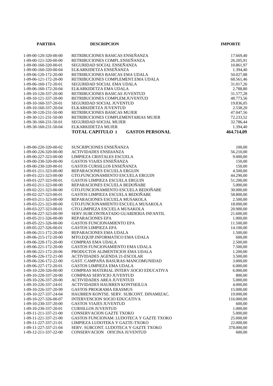| <b>PARTIDA</b>                                 | <b>DESCRIPCION</b>                                      | <b>IMPORTE</b>        |
|------------------------------------------------|---------------------------------------------------------|-----------------------|
|                                                |                                                         |                       |
| 1-09-00-120-320-00-00                          | RETRIBUCIONES BASICAS ENSEÑANZA                         | 17.669,40             |
| 1-09-00-121-320-00-00                          | RETRIBUCIONES COMPL.ENSEÑANZA                           | 26.205,91             |
| 1-09-00-160-320-00-01                          | SEGURIDAD SOCIAL ENSEÑANZA                              | 10.861,97             |
| 1-09-00-160-320-00-04                          | ELKARKIDETZA ENSEÑANZA                                  | 1.394,40              |
| 1-09-06-120-172-20-00                          | RETRIBUCIONES BASICAS EMA UDALA                         | 50.027,88             |
| 1-09-06-121-172-20-00                          | RETRIBUCIONES COMPLEMENT.EMA UDALA                      | 68.561,46             |
| 1-09-06-160-172-20-01                          | SEGURIDAD SOCIAL EMA UDALA                              | 31.017,26             |
| 1-09-06-160-172-20-04                          | ELKARKIDETZA EMA UDALA                                  | 2.788,80              |
| 1-09-10-120-337-20-00                          | RETRIBUCIONES BASICAS JUVENTUD                          | 31.577,28             |
| 1-09-10-121-337-20-00                          | RETRIBUCIONES COMPLEM.JUVENTUD                          | 48.773,56             |
| 1-09-10-160-337-20-01                          | SEGURIDAD SOCIAL JUVENTUD                               | 19.836,05             |
| 1-09-10-160-337-20-04                          | ELKARKIDETZA JUVENTUD                                   | 2.538,20              |
| 1-09-30-120-231-50-00                          | RETRIBUCIONES BASICAS MUJER                             | 47.047,56             |
| 1-09-30-121-231-50-00                          | RETRIBUCIONES COMPLEMENTARIAS MUJER                     | 72.233,52             |
| 1-09-30-160-231-50-01                          | <b>SEGURIDAD SOCIAL MUJER</b>                           | 32.786,44             |
| 1-09-30-160-231-50-04                          | ELKARKIDETZA MUJER                                      | 1.394,40              |
|                                                | <b>TOTAL CAPITULO 1</b><br><b>GASTOS PERSONAL</b>       | 464.714,09            |
|                                                |                                                         |                       |
|                                                |                                                         |                       |
| 1-09-00-220-320-00-02                          | SUSCRIPCIONES ENSEÑANZA                                 | 100,00                |
| 1-09-00-226-320-00-00                          | ACTIVIDADES ENSEñANZA                                   | 56.210,00             |
| 1-09-00-227-323-00-00                          | LIMPIEZA CRISTALES ESCUELA                              | 9.000,00              |
| 1-09-00-230-320-00-00                          | GASTOS VIAJES ENSEÑANZA                                 | 150,00                |
| 1-09-00-230-320-00-01                          | <b>GASTOS CURSILLOS ENSEÑANZA</b>                       | 150,00                |
| 1-09-01-211-323-00-00                          | REPARACIONES ESCUELA ERGUIN                             | 4.500,00              |
| 1-09-01-221-323-00-00                          | GTO.FUNCIONAMIENTO ESCUELA ERGUIN                       | 44.290,00             |
| 1-09-01-227-323-00-01                          | <b>GASTOS LIMPIEZA ESCUELA ERGUIN</b>                   | 51.200,00             |
| 1-09-02-211-323-00-00                          | REPARACIONES ESCUELA BEDOÑABE                           | 5.000,00              |
| 1-09-02-221-323-00-00                          | GTO.FUNCIONAMIENTO ESCUELA BEDOÑABE                     | 30.000,00             |
| 1-09-02-227-323-00-01                          | GASTOS LIMPIEZA ESCUELA BEDOÑABE                        | 58.800,00             |
| 1-09-03-211-323-00-00                          | REPARACIONES ESCUELA MUSAKOLA                           | 2.500,00              |
| 1-09-03-221-323-00-00                          | GTO.FUNCIONAMIENTO ESCUELA MUSAKOLA                     | 18.000,00             |
| 1-09-03-227-323-00-01                          | GTO.LIMPIEZA ESCUELA MUSAKOLA                           | 20.900,00             |
| 1-09-04-227-323-00-99                          | SERV.SUBCONTRATADO GUARDERIA INFANTIL                   | 21.600,00             |
| 1-09-05-211-326-00-00                          | REPARACIONES EPA                                        | 1.000,00<br>11.500,00 |
| 1-09-05-221-326-00-00<br>1-09-05-227-326-00-01 | GASTOS FUNCIONAMIENTO EPA<br><b>GASTOS LIMPIEZA EPA</b> |                       |
| 1-09-06-211-172-20-00                          | REPARACIONES EMA UDALA                                  | 14.100,00<br>1.500,00 |
| 1-09-06-215-172-20-00                          | MTO.EQUIP.INFORMATICO EMA UDALA                         | 600,00                |
| 1-09-06-220-172-20-00                          | <b>COMPRAS EMA UDALA</b>                                | 2.500,00              |
| 1-09-06-221-172-20-00                          | GASTOS FUNCIONAMIENTO EMA UDALA                         | 7.500,00              |
| 1-09-06-221-172-20-06                          | PRODUCTOS ALIMENTICIOS EMA UDALA                        | 1.200,00              |
| 1-09-06-226-172-21-00                          | ACTIVIDADES AGENDA 21-ESCOLAR                           | 3.500,00              |
| 1-09-06-226-172-22-00                          | GAST. CAMPAÑA BASURAS-MANCOMUNIDAD                      | 3.000,00              |
| 1-09-06-227-172-20-01                          | <b>GASTOS LIMPIEZA EMA UDALA</b>                        | 6.000,00              |
| 1-09-10-220-326-00-00                          | COMPRAS MATERIAL INTERV. SOCIO EDUCATIVA                | 6.000,00              |
| 1-09-10-220-337-20-00                          | COMPRAS SERVICIO JUVENTUD                               | 800,00                |
| 1-09-10-226-337-20-00                          | ACTIVIDADES AREA JUVENTUD                               | 5.000,00              |
| 1-09-10-226-337-24-01                          | <b>ACTIVIDADES HAURREN KONTSEILUA</b>                   | 4.000,00              |
| 1-09-10-226-337-20-99                          | <b>GASTOS PROGRAMA ERASMUS</b>                          | 15.000,00             |
| 1-09-10-227-337-24-04                          | HAURREN KONTSE. SERV. SUBCONT. DINAMIZAC.               | 19.000,00             |
| 1-09-10-227-326-00-07                          | <b>INTERVENCION SOCIO EDUCATIVA</b>                     | 116.000,00            |
| 1-09-10-230-337-20-00                          | <b>GASTOS VIAJES JUVENTUD</b>                           | 600,00                |
| 1-09-10-230-337-20-01                          | <b>CURSILLOS JUVENTUD</b>                               | 1.000,00              |
| 1-09-11-211-337-21-00                          | <b>CONSERVACION GAZTE TXOKO</b>                         | 5.000,00              |
| 1-09-11-221-337-21-00                          | GASTOS FUNCIONAM. LUDOTECA Y GAZTE TXOKO                | 25.000,00             |
| 1-09-11-227-337-21-01                          | LIMPIEZA LUDOTEKA Y GAZTE-TXOKO                         | 22.000,00             |
| 1-09-11-227-337-21-04                          | SERV. SUBCONT. LUDOTECA Y GAZTE TXOKO                   | 378.000,00            |
| 1-09-12-211-337-22-00                          | CONSERVACION OFICINA JUVENTUD                           | 600,00                |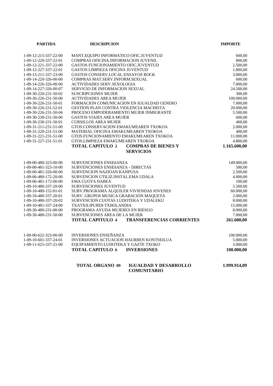| <b>PARTIDA</b>        | <b>DESCRIPCION</b>                                          | <b>IMPORTE</b> |
|-----------------------|-------------------------------------------------------------|----------------|
| 1-09-12-215-337-22-00 | MANT.EQUIPO INFORMATICO OFIC.JUVENTUD                       | 600,00         |
| 1-09-12-220-337-22-01 | COMPRAS OFICINA INFORMACION JUVENIL                         | 800,00         |
| 1-09-12-221-337-22-00 | <b>GASTOS FUNCIONAMIENTO OFIC.JUVENTUD</b>                  | 2.500,00       |
| 1-09-12-227-337-22-01 | <b>GASTOS LIMPIEZA OFICINA JUVENTUD</b>                     | 1.800,00       |
| 1-09-13-211-337-23-00 | GASTOS CONSERV.LOCAL ENSAYOS ROCK                           | 3.000,00       |
| 1-09-14-220-326-00-00 | COMPRAS MAT.SERV.INFORM.SEXUAL                              | 600,00         |
| 1-09-14-226-326-00-00 | <b>ACTIVIDADES SERV.SEXOLOGIA</b>                           | 7.000,00       |
| 1-09-14-227-326-00-07 | <b>SERVICIO DE INFORMACION SEXUAL</b>                       | 24.500,00      |
| 1-09-30-220-231-50-02 | <b>SUSCRIPCIONES MUJER</b>                                  | 300,00         |
| 1-09-30-226-231-50-00 | <b>ACTIVIDADES AREA MUJER</b>                               | 100.000,00     |
| 1-09-30-226-231-50-01 | FORMACION COMUNICACION EN IGUALDAD GENERO                   | 7.000,00       |
| 1-09-30-226-231-52-01 | GESTION PLAN CONTRA VIOLENCIA MACHISTA                      | 20.000,00      |
| 1-09-30-226-231-50-04 | PROCESO EMPODERAMIENTO MUJER INMIGRANTE                     | 5.500,00       |
| 1-09-30-230-231-50-00 | <b>GASTOS VIAJES AREA MUJER</b>                             | 600,00         |
| 1-09-30-230-231-50-01 | <b>CURSILLOS AREA MUJER</b>                                 | 400,00         |
| 1-09-31-211-231-51-00 | GTOS.CONSERVACION EMAKUMEAREN TXOKOA                        | 2.000,00       |
| 1-09-31-220-231-51-00 | MATERIAL OFICINA EMAKUMEAREN TXOKOA                         | 400,00         |
| 1-09-31-221-231-51-00 | GTOS.FUNCIONAMIENTO EMAKUMEAREN TXOKOA                      | 11.000,00      |
| 1-09-31-227-231-51-01 | GTOS.LIMPIEZA EMAKUMEAREN TXOKOA                            | 4.800,00       |
|                       | <b>TOTAL CAPITULO 2</b><br><b>COMPRAS DE BIENES Y</b>       | 1.165.600,00   |
|                       | <b>SERVICIOS</b>                                            |                |
|                       |                                                             |                |
| 1-09-00-480-323-00-00 | SUBVENCIONES ENSEñANZA                                      | 149.000,00     |
| 1-09-00-481-323-10-00 | SUBVENCIONES ENSEñANZA - DIRECTAS                           | 500,00         |
| 1-09-00-481-326-00-00 | SUBVENCION NAZIOAN KANPUSA                                  | 2.500,00       |
| 1-09-06-480-172-20-00 | SUBVENCION UTILIZ.INSTAL.EMA UDALA                          | 4.000,00       |
| 1-09-06-481-172-00-00 | <b>EMA CUOTA HABEA</b>                                      | 100,00         |
| 1-09-10-480-337-20-00 | SUBVENCIONES JUVENTUD                                       | 5.500,00       |
| 1-09-10-480-152-01-01 | SUBV.PROGRAMA ALQUILER VIVIENDAS JOVENES                    | 60.000,00      |
| 1-09-10-480-337-20-01 | SUBV. GRUPOS MUSICA GRABACION MAQUETA                       | 2.000,00       |
| 1-09-10-480-337-20-02 | SUBVENCION CUOTAS LUDOTEKA Y UDALEKU                        | 8.000,00       |
| 1-09-10-481-337-24-00 | TXATXILIPURDI-TXIKILANDIA                                   | 15.000,00      |
| 1-09-30-480-231-00-00 | PROGRAMA AYUDA MUJERES EN RIESGO                            | 8.000,00       |
| 1-09-30-480-231-50-00 | SUBVENCIONES AREA DE LA MUJER                               | 7.000,00       |
|                       | <b>TOTAL CAPITULO 4</b><br><b>TRANSFERENCIAS CORRIENTES</b> | 261.600,00     |
|                       |                                                             |                |
|                       |                                                             |                |
| 1-09-00-622-323-00-00 | <b>INVERSIONES ENSEÑANZA</b>                                | 100.000,00     |
| 1-09-10-601-337-24-01 | <b>INVERSIONES ACTUACION HAURREN KONTSEILUA</b>             | 5.000,00       |
| 1-09-11-625-337-21-00 | EQUIPAMIENTO LUDOTEKA Y GAZTE TXOKO                         | 3.000,00       |
|                       | <b>TOTAL CAPITULO 6</b><br><b>INVERSIONES</b>               | 108.000,00     |
|                       |                                                             |                |
|                       | <b>TOTAL ORGANO 09</b><br><b>IGUALDAD Y DESARROLLO</b>      | 1.999.914.09   |

**COMUNITARIO**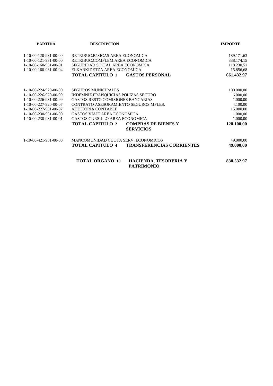| <b>PARTIDA</b>          | <b>DESCRIPCION</b>                                          | <b>IMPORTE</b> |
|-------------------------|-------------------------------------------------------------|----------------|
| 1-10-00-120-931-00-00   | RETRIBUC.BáSICAS AREA ECONOMICA                             | 189.171,63     |
| $1-10-00-121-931-00-00$ | RETRIBUC.COMPLEM.AREA ECONOMICA                             | 338.174,15     |
| 1-10-00-160-931-00-01   | SEGURIDAD SOCIAL AREA ECONOMICA                             | 118.230,51     |
| 1-10-00-160-931-00-04   | ELKARKIDETZA AREA ECONOMICA                                 | 15.856,68      |
|                         | <b>TOTAL CAPITULO 1</b><br><b>GASTOS PERSONAL</b>           | 661.432,97     |
|                         |                                                             |                |
| $1-10-00-224-920-00-00$ | <b>SEGUROS MUNICIPALES</b>                                  | 100.000,00     |
| 1-10-00-226-920-00-99   | INDEMNIZ.FRANQUICIAS POLIZAS SEGURO                         | 6.000,00       |
| 1-10-00-226-931-00-99   | GASTOS RESTO COMISIONES BANCARIAS                           | 1.000,00       |
| 1-10-00-227-920-00-07   | CONTRATO ASESORAMIENTO SEGUROS MPLES.                       | 4.100,00       |
| 1-10-00-227-931-00-07   | AUDITORIA CONTABLE                                          | 15.000,00      |
| 1-10-00-230-931-00-00   | <b>GASTOS VIAJE AREA ECONOMICA</b>                          | 1.000,00       |
| 1-10-00-230-931-00-01   | <b>GASTOS CURSILLO AREA ECONOMICA</b>                       | 1.000,00       |
|                         | <b>TOTAL CAPITULO 2</b><br><b>COMPRAS DE BIENES Y</b>       | 128.100,00     |
|                         | <b>SERVICIOS</b>                                            |                |
| 1-10-00-421-931-00-00   | MANCOMUNIDAD CUOTA SERV. ECONOMICOS                         | 49.000,00      |
|                         | <b>TOTAL CAPITULO 4</b><br><b>TRANSFERENCIAS CORRIENTES</b> | 49.000,00      |
|                         | <b>TOTAL ORGANO 10</b><br>HACIENDA, TESORERIA Y             | 838.532,97     |

**PATRIMONIO**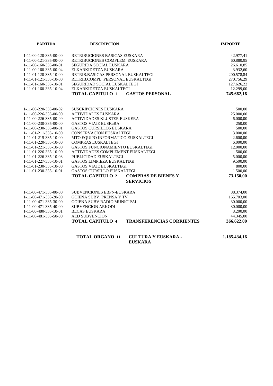| <b>PARTIDA</b>                      | <b>DESCRIPCION</b>                                                        | <b>IMPORTE</b> |
|-------------------------------------|---------------------------------------------------------------------------|----------------|
| 1-11-00-120-335-00-00               | RETRIBUCIONES BASICAS EUSKARA                                             | 42.977,41      |
| $1 - 11 - 00 - 121 - 335 - 00 - 00$ | RETRIBUCIONES COMPLEM. EUSKARA                                            | 60.880,95      |
| 1-11-00-160-335-00-01               | SEGURIDA SOCIAL EUSKARA                                                   | 26.610,85      |
| 1-11-00-160-335-00-04               | ELKARKIDETZA EUSKARA                                                      | 3.932,60       |
| $1-11-01-120-335-10-00$             | RETRIB.BASICAS PERSONAL EUSKALTEGI                                        | 200.578,84     |
| 1-11-01-121-335-10-00               | RETRIB.COMPL. PERSONAL EUSKALTEGI                                         | 270.756,29     |
| 1-11-01-160-335-10-01               | SEGURIDAD SOCIAL EUSKALTEGI                                               | 127.626,22     |
| 1-11-01-160-335-10-04               | ELKARKIDETZA EUSKALTEGI                                                   | 12.299,00      |
|                                     | <b>TOTAL CAPITULO 1</b><br><b>GASTOS PERSONAL</b>                         | 745.662,16     |
| 1-11-00-220-335-00-02               | <b>SUSCRIPCIONES EUSKARA</b>                                              | 500,00         |
| $1 - 11 - 00 - 226 - 335 - 00 - 00$ | <b>ACTIVIDADES EUSKARA</b>                                                | 25.000,00      |
| 1-11-00-226-335-00-99               | <b>ACTIVIDADES KLUSTER EUSKERA</b>                                        | 6.000,00       |
| 1-11-00-230-335-00-00               | <b>GASTOS VIAJE EUSKaRA</b>                                               | 250,00         |
| 1-11-00-230-335-00-01               | <b>GASTOS CURSILLOS EUSKARA</b>                                           | 500,00         |
| $1-11-01-211-335-10-00$             | <b>CONSERVACION EUSKALTEGI</b>                                            | 3.000,00       |
| 1-11-01-215-335-10-00               | MTO.EQUIPO INFORMATICO EUSKALTEGI                                         | 2.600,00       |
| 1-11-01-220-335-10-00               | <b>COMPRAS EUSKALTEGI</b>                                                 | 6.000,00       |
| 1-11-01-221-335-10-00               | <b>GASTOS FUNCIONAMIENTO EUSKALTEGI</b>                                   | 12.000,00      |
| 1-11-01-226-335-10-00               | ACTIVIDADES COMPLEMENT.EUSKALTEGI                                         | 500,00         |
| 1-11-01-226-335-10-03               | PUBLICIDAD EUSKALTEGI                                                     | 5.000,00       |
| 1-11-01-227-335-10-01               | <b>GASTOS LIMPIEZA EUSKALTEGI</b>                                         | 9.500,00       |
| 1-11-01-230-335-10-00               | <b>GASTOS VIAJE EUSKALTEGI</b>                                            | 800,00         |
| 1-11-01-230-335-10-01               | <b>GASTOS CURSILLO EUSKALTEGI</b>                                         | 1.500,00       |
|                                     | <b>TOTAL CAPITULO 2</b><br><b>COMPRAS DE BIENES Y</b><br><b>SERVICIOS</b> | 73.150,00      |
|                                     |                                                                           |                |
| 1-11-00-471-335-00-00               | <b>SUBVENCIONES EBPN-EUSKARA</b>                                          | 88.374,00      |
| 1-11-00-471-335-20-00               | <b>GOIENA SUBV. PRENSA Y TV</b>                                           | 165.703,00     |
| 1-11-00-471-335-30-00               | <b>GOIENA SUBV RADIO MUNICIPAL</b>                                        | 30.000,00      |
| 1-11-00-471-335-40-00               | <b>SUBVENCION ARKODI</b>                                                  | 30.000,00      |
| 1-11-00-480-335-10-01               | <b>BECAS EUSKARA</b>                                                      | 8.200,00       |
| 1-11-00-481-335-50-00               | <b>AED SUBVENCION</b>                                                     | 44.345,00      |
|                                     | <b>TOTAL CAPITULO 4</b><br><b>TRANSFERENCIAS CORRIENTES</b>               | 366.622,00     |
|                                     |                                                                           |                |

| <b>TOTAL ORGANO 11</b> | <b>CULTURA Y EUSKARA -</b> | 1.185.434,16 |
|------------------------|----------------------------|--------------|
|                        | <b>EUSKARA</b>             |              |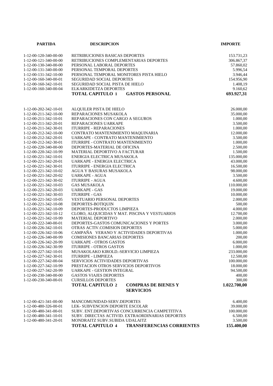| <b>PARTIDA</b>                                 | <b>DESCRIPCION</b>                                                        | <b>IMPORTE</b>          |
|------------------------------------------------|---------------------------------------------------------------------------|-------------------------|
|                                                |                                                                           |                         |
| 1-12-00-120-340-00-00                          | RETRIBUCIONES BASICAS DEPORTES                                            | 153.731,23              |
| 1-12-00-121-340-00-00                          | RETRIBUCIONES COMPLEMENTARIAS DEPORTES                                    | 306.867,37              |
| 1-12-00-130-340-00-00                          | PERSONAL LABORAL DEPORTES                                                 | 57.860,02               |
| 1-12-00-131-340-00-00                          | PERSONAL TEMPORAL DEPORTES                                                | 5.996,54                |
| 1-12-00-131-342-10-00                          | PERSONAL TEMPORAL MONITORES PISTA HIELO                                   | 3.946,44                |
| 1-12-00-160-340-00-01                          | <b>SEGURIDAD SOCIAL DEPORTES</b>                                          | 154.956,90              |
| 1-12-00-160-342-10-01                          | SEGURIDAD SOCIAL PISTA DE HIELO                                           | 1.408,19                |
| 1-12-00-160-340-00-04                          | ELKARKIDETZA DEPORTES                                                     | 9.160,62                |
|                                                | <b>TOTAL CAPITULO 1</b><br><b>GASTOS PERSONAL</b>                         | 693.927,31              |
|                                                |                                                                           |                         |
| 1-12-00-202-342-10-01                          | ALQUILER PISTA DE HIELO                                                   | 26.000,00               |
| 1-12-00-211-342-10-00                          | REPARACIONES MUSAKOLA                                                     | 35.000,00               |
| 1-12-00-211-342-10-01                          | REPARACIONES CON CARGO A SEGUROS                                          | 1.000,00                |
| 1-12-00-211-342-20-01                          | REPARACIONES UARKAPE                                                      | 3.500,00                |
| 1-12-00-211-342-30-01                          | <b>ITURRIPE - REPARACIONES</b>                                            | 1.000,00                |
| 1-12-00-212-342-10-00                          | CONTRATO MANTENIMIENTO MAQUINARIA                                         | 12.000,00               |
| 1-12-00-212-342-20-01                          | UARKAPE - CONTRATO MANTENIMIENTO                                          | 3.500,00                |
| 1-12-00-212-342-30-01<br>1-12-00-220-340-00-00 | ITURRIPE - CONTRATO MANTENIMIENTO<br>DEPORTES-MATERIAL DE OFICINA         | 1.000,00                |
|                                                |                                                                           | 2.500,00                |
| 1-12-00-220-342-10-99<br>1-12-00-221-342-10-01 | MATERIAL DEPORTIVO A FACTURAR                                             | 1.500,00                |
| 1-12-00-221-342-20-01                          | ENERGIA ELECTRICA MUSAKOLA<br>UARKAPE - ENERGIA ELECTRICA                 | 135.000,00<br>43.000,00 |
| 1-12-00-221-342-30-01                          | <b>ITURRIPE - ENERGIA ELECTRICA</b>                                       | 16.500,00               |
| 1-12-00-221-342-10-02                          | AGUA Y BASURAS MUSAKOLA                                                   | 98.000,00               |
| 1-12-00-221-342-20-02                          | <b>UARKAPE - AGUA</b>                                                     | 3.500,00                |
| 1-12-00-221-342-30-02                          | <b>ITURRIPE - AGUA</b>                                                    | 4.600,00                |
| 1-12-00-221-342-10-03                          | <b>GAS MUSAKOLA</b>                                                       | 110.000,00              |
| 1-12-00-221-342-20-03                          | <b>UARKAPE - GAS</b>                                                      | 19.000,00               |
| 1-12-00-221-342-30-03                          | <b>ITURRIPE - GAS</b>                                                     | 10.000,00               |
| 1-12-00-221-342-10-05                          | <b>VESTUARIO PERSONAL DEPORTES</b>                                        | 2.000,00                |
| 1-12-00-221-342-10-08                          | DEPORTES-BOTIQUIN                                                         | 500,00                  |
| 1-12-00-221-342-10-09                          | DEPORTES-PRODUCTOS LIMPIEZA                                               | 4.000,00                |
| 1-12-00-221-342-10-12                          | CLORO, ALQUICIDAS Y MAT. PISCINA Y VESTUARIOS                             | 12.700,00               |
| 1-12-00-221-342-10-99                          | MATERIAL DEPORTIVO                                                        | 2.000,00                |
| 1-12-00-222-340-00-01                          | DEPORTES-GASTOS COMUNICACIONES Y PORTES                                   | 3.000,00                |
| 1-12-00-226-342-10-01                          | OTRAS ACTIV.COMISION DEPORTES                                             | 5.000,00                |
| 1-12-00-226-342-10-06                          | CAMPAÑA VERANO Y ACTIVIDADES DEPORTIVAS                                   | 1.000,00                |
| 1-12-00-226-340-00-99                          | <b>COMISIONES BANCARIAS DEPORTES</b>                                      | 200,00                  |
| 1-12-00-226-342-20-99                          | <b>UARKAPE - OTROS GASTOS</b>                                             | 6.000,00                |
| 1-12-00-226-342-30-99                          | <b>ITURRIPE - OTROS GASTOS</b>                                            | 1.000,00                |
| 1-12-00-227-342-10-01                          | MUSAKOLAKO KIROLD.-SERVICIO LIMPIEZA                                      | 233.000,00              |
| 1-12-00-227-342-30-01                          | <b>ITURRIPE - LIMPIEZA</b>                                                | 12.500,00               |
| 1-12-00-227-342-00-04                          | SERVICIOS ACTIVIDADES DEPORTIVAS                                          | 100.000,00              |
| 1-12-00-227-342-10-99                          | PRESTACION OTROS SERVICIOS DEPORTIVOS                                     | 18.000.00               |
| 1-12-00-227-342-20-99                          | <b>UARKAPE - GESTION INTEGRAL</b>                                         | 94.500.00               |
| 1-12-00-230-340-00-00<br>1-12-00-230-340-00-01 | <b>GASTOS VIAJES DEPORTES</b>                                             | 400,00                  |
|                                                | <b>CURSILLOS DEPORTES</b>                                                 | 300,00                  |
|                                                | <b>TOTAL CAPITULO 2</b><br><b>COMPRAS DE BIENES Y</b><br><b>SERVICIOS</b> | 1.022.700,00            |
|                                                |                                                                           |                         |
| 1-12-00-421-341-00-00                          | MANCOMUNIDAD-SERV.DEPORTES                                                | 6.400,00                |
| 1-12-00-480-326-00-01                          | LEK- SUBVENCION DEPORTE ESCOLAR                                           | 39.000,00               |
| 1-12-00-480-341-00-01                          | SUBV. ENT.DEPORTIVAS CONCURRENCIA CAMPETITIVA                             | 100.000,00              |
| 1-12-00-480-341-10-01                          | SUBV. DIRECTAS ACTIVID. EXTRAORDINARIAS DEPORTES                          | 6.500,00                |
| 1-12-00-480-341-20-01                          | MONDRAITZ SUBV.SUBIDA UDALAITZ                                            | 3.500,00                |
|                                                | <b>TOTAL CAPITULO 4</b><br><b>TRANSFERENCIAS CORRIENTES</b>               | 155.400,00              |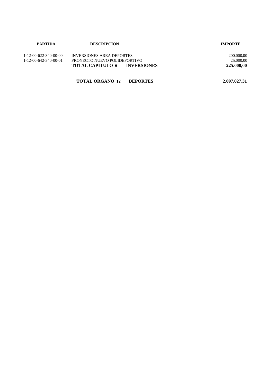| <b>PARTIDA</b>                      | <b>DESCRIPCION</b>                            | <b>IMPORTE</b> |
|-------------------------------------|-----------------------------------------------|----------------|
| $1 - 12 - 00 - 622 - 340 - 00 - 00$ | <b>INVERSIONES AREA DEPORTES</b>              | 200.000,00     |
| 1-12-00-642-340-00-01               | PROYECTO NUEVO POLIDEPORTIVO                  | 25,000,00      |
|                                     | <b>TOTAL CAPITULO 6</b><br><b>INVERSIONES</b> | 225.000.00     |
|                                     |                                               |                |

**TOTAL ORGANO 12 DEPORTES 2.097.027,31**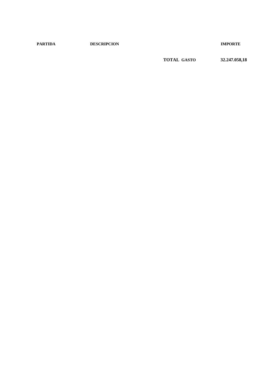**PARTIDA DESCRIPCION IMPORTE**

**TOTAL GASTO 32.247.058,18**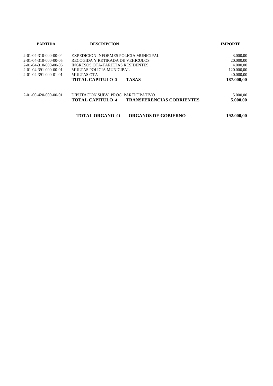| <b>PARTIDA</b>                      | <b>DESCRIPCION</b>                                    | <b>IMPORTE</b> |
|-------------------------------------|-------------------------------------------------------|----------------|
| 2-01-04-310-000-00-04               | EXPEDICION INFORMES POLICIA MUNICIPAL                 | 3.000,00       |
| $2 - 01 - 04 - 310 - 000 - 00 - 05$ | RECOGIDA Y RETIRADA DE VEHICULOS                      | 20.000,00      |
| 2-01-04-310-000-00-06               | INGRESOS OTA-TARJETAS RESIDENTES                      | 4.000,00       |
| $2 - 01 - 04 - 391 - 000 - 00 - 01$ | MULTAS POLICIA MUNICIPAL                              | 120.000,00     |
| $2 - 01 - 04 - 391 - 000 - 01 - 01$ | MULTAS OTA                                            | 40.000,00      |
|                                     | <b>TASAS</b><br><b>TOTAL CAPITULO 3</b>               | 187.000,00     |
| 2-01-00-420-000-00-01               | DIPUTACION SUBV. PROC. PARTICIPATIVO                  | 5.000,00       |
|                                     | <b>TRANSFERENCIAS CORRIENTES</b><br>ТОТАІ. САРІТШ.О 4 | 5.000,00       |
|                                     | <b>TOTAL ORGANO 01</b><br><b>ORGANOS DE GOBIERNO</b>  | 192.000.00     |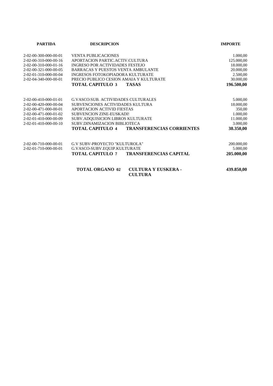| <b>PARTIDA</b>                      | <b>DESCRIPCION</b>                                       | <b>IMPORTE</b> |
|-------------------------------------|----------------------------------------------------------|----------------|
| 2-02-00-300-000-00-01               | <b>VENTA PUBLICACIONES</b>                               | 1.000,00       |
| $2 - 02 - 00 - 310 - 000 - 00 - 16$ | APORTACION PARTIC. ACTIV.CULTURA                         | 125.000,00     |
| $2 - 02 - 00 - 310 - 000 - 01 - 16$ | INGRESO POR ACTIVIDADES FESTEJO                          | 18.000,00      |
| 2-02-00-321-000-00-05               | BARRACAS Y PUESTOS VENTA AMBULANTE                       | 20.000,00      |
| 2-02-01-310-000-00-04               | INGRESOS FOTOKOPIADORA KULTURATE                         | 2.500,00       |
| 2-02-04-340-000-00-01               | PRECIO PUBLICO CESION AMAIA Y KULTURATE                  | 30.000,00      |
|                                     | <b>TOTAL CAPITULO 3</b><br><b>TASAS</b>                  | 196.500,00     |
| $2 - 02 - 00 - 410 - 000 - 01 - 01$ | <b>G.VASCO:SUB. ACTIVIDADES CULTURALES</b>               | 5.000,00       |
| 2-02-00-420-000-00-04               | SUBVENCIONES ACTIVIDADES KULTURA                         | 18.000,00      |
| 2-02-00-471-000-00-01               | APORTACION ACTIVID FIESTAS                               | 350,00         |
| 2-02-00-471-000-01-02               | SUBVENCION ZINE-EUSKADI!                                 | 1.000,00       |
| 2-02-01-410-000-00-09               | <b>SUBV.ADOUISICION LIBROS KULTURATE</b>                 | 11.000,00      |
| 2-02-01-410-000-00-10               | SUBV.DINAMIZACION BIBLIOTECA                             | 3.000,00       |
|                                     | <b>TOTAL CAPITULO 4 TRANSFERENCIAS CORRIENTES</b>        | 38.350,00      |
| 2-02-00-710-000-00-01               | G.V SUBV-PROYECTO "KULTUROLA"                            | 200.000,00     |
| 2-02-01-710-000-00-01               | G.VASCO-SUBV.EQUIP.KULTURATE                             | 5.000,00       |
|                                     | <b>TOTAL CAPITULO 7</b><br><b>TRANSFERENCIAS CAPITAL</b> | 205.000,00     |
|                                     | <b>CULTURA Y EUSKERA -</b><br><b>TOTAL ORGANO 02</b>     | 439.850,00     |

**CULTURA**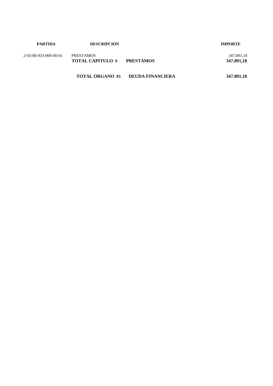| <b>PARTIDA</b>        | <b>DESCRIPCION</b>                          |                         | <b>IMPORTE</b>           |
|-----------------------|---------------------------------------------|-------------------------|--------------------------|
| 2-03-00-933-000-00-01 | <b>PRESTAMOS</b><br><b>TOTAL CAPITULO 9</b> | <b>PRESTAMOS</b>        | 347.891,18<br>347.891,18 |
|                       | <b>TOTAL ORGANO 03</b>                      | <b>DEUDA FINANCIERA</b> | 347.891,18               |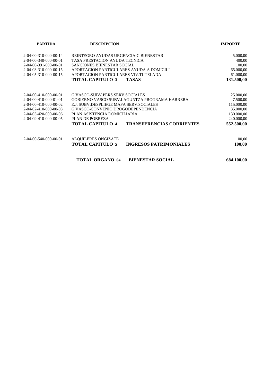| <b>PARTIDA</b>                      | <b>DESCRIPCION</b>                                          | <b>IMPORTE</b> |
|-------------------------------------|-------------------------------------------------------------|----------------|
| 2-04-00-310-000-00-14               | REINTEGRO AYUDAS URGENCIA-C.BIENESTAR                       | 5.000,00       |
| 2-04-00-340-000-00-01               | TASA PRESTACION AYUDA TECNICA                               | 400,00         |
| 2-04-00-391-000-00-01               | SANCIONES BIENESTAR SOCIAL                                  | 100,00         |
| 2-04-03-310-000-00-15               | APORTACION PARTICULARES AYUDA A DOMICILI                    | 65.000,00      |
| 2-04-05-310-000-00-15               | APORTACION PARTICULARES VIV.TUTELADA                        | 61.000,00      |
|                                     | <b>TOTAL CAPITULO 3</b><br><b>TASAS</b>                     | 131.500,00     |
| $2 - 04 - 00 - 410 - 000 - 00 - 01$ | G.VASCO-SUBV.PERS.SERV.SOCIALES                             | 25.000,00      |
| 2-04-00-410-000-01-01               | GOBIERNO VASCO SUBV.LAGUNTZA PROGRAMA HARRERA               | 7.500,00       |
| 2-04-00-410-000-00-02               | E.J. SUBV.DESPLIEGE MAPA SERV.SOCIALES                      | 115.000,00     |
| 2-04-02-410-000-00-03               | G.VASCO-CONVENIO DROGODEPENDENCIA                           | 35.000,00      |
| 2-04-03-420-000-00-06               | PLAN ASISTENCIA DOMICILIARIA                                | 130.000,00     |
| 2-04-09-410-000-00-05               | PLAN DE POBREZA                                             | 240.000,00     |
|                                     | <b>TRANSFERENCIAS CORRIENTES</b><br><b>TOTAL CAPITULO 4</b> | 552.500,00     |
| 2-04-00-540-000-00-01               | ALQUILERES ONGIZATE                                         | 100,00         |
|                                     | <b>TOTAL CAPITULO 5</b><br><b>INGRESOS PATRIMONIALES</b>    | 100,00         |
|                                     | <b>TOTAL ORGANO 04</b><br><b>BIENESTAR SOCIAL</b>           | 684.100,00     |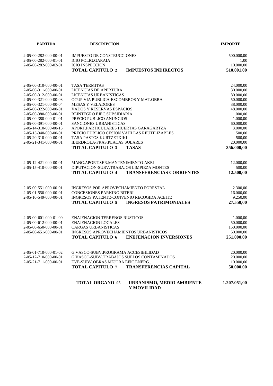| <b>PARTIDA</b>                                                                                                                                                                                                                                                                                                                    | <b>DESCRIPCION</b>                                                                                                                                                                                                                                                                                                                                                                                                                                                  | <b>IMPORTE</b>                                                                                                                                                             |
|-----------------------------------------------------------------------------------------------------------------------------------------------------------------------------------------------------------------------------------------------------------------------------------------------------------------------------------|---------------------------------------------------------------------------------------------------------------------------------------------------------------------------------------------------------------------------------------------------------------------------------------------------------------------------------------------------------------------------------------------------------------------------------------------------------------------|----------------------------------------------------------------------------------------------------------------------------------------------------------------------------|
| 2-05-00-282-000-00-01<br>2-05-00-282-000-01-01<br>2-05-00-282-000-02-01                                                                                                                                                                                                                                                           | <b>IMPUESTO DE CONSTRUCCIONES</b><br><b>ICIO POLIG.GARAIA</b><br><b>ICIO INSPECCION</b><br><b>TOTAL CAPITULO 2</b><br><b>IMPUESTOS INDIRECTOS</b>                                                                                                                                                                                                                                                                                                                   | 500.000,00<br>1,00<br>10.000,00<br>510.001,00                                                                                                                              |
| 2-05-00-310-000-00-01<br>2-05-00-311-000-00-01<br>2-05-00-312-000-00-01<br>2-05-00-321-000-00-03<br>2-05-00-321-000-00-04<br>2-05-00-322-000-00-01<br>2-05-00-380-000-00-01<br>2-05-00-380-000-01-01<br>2-05-00-391-000-00-01<br>2-05-14-310-000-00-15<br>2-05-15-340-000-00-01<br>2-05-20-310-000-00-01<br>2-05-21-341-000-00-01 | <b>TASA TERMITAS</b><br>LICENCIAS DE APERTURA<br>LICENCIAS URBANISTICAS<br>OCUP.VIA PUBLICA-ESCOMBROS Y MAT.OBRA<br><b>MESAS Y VELADORES</b><br>VADOS Y RESERVAS ESPACIOS<br>REINTEGRO EJEC.SUBSIDIARIA<br>PRECIO PUBLICO ANUNCIOS<br>SANCIONES URBANISTICAS<br>APORT.PARTICULARES HUERTAS GARAGARTZA<br>PRECIO PUBLICO CESION VAJILLAS REUTILIZABLES<br>TASA PASTOS KURTZETXIKI<br><b>IBERDROLA-FRAS.PLACAS SOLARES</b><br><b>TOTAL CAPITULO 3</b><br><b>TASAS</b> | 24.000,00<br>30.000,00<br>80.000,00<br>50.000,00<br>38.000,00<br>48.000,00<br>1.000,00<br>1.000,00<br>60.000,00<br>3.000,00<br>500,00<br>500,00<br>20.000,00<br>356.000,00 |
| 2-05-12-421-000-00-01<br>2-05-15-410-000-00-01                                                                                                                                                                                                                                                                                    | MANC.APORT.SER.MANTENIMIENTO AKEI<br>DIPUTACION-SUBV.TRABAJOS LIMPIEZA MONTES<br><b>TOTAL CAPITULO 4</b><br><b>TRANSFERENCIAS CORRIENTES</b>                                                                                                                                                                                                                                                                                                                        | 12.000,00<br>500,00<br>12.500,00                                                                                                                                           |
| 2-05-00-551-000-00-01<br>2-05-01-550-000-00-01<br>2-05-10-549-000-00-01                                                                                                                                                                                                                                                           | INGRESOS POR APROVECHAMIENTO FORESTAL<br><b>CONCESIONES PARKING BITERI</b><br>INGRESOS PATENTE-CONVENIO RECOGIDA ACEITE<br><b>TOTAL CAPITULO 5</b><br><b>INGRESOS PATRIMONIALES</b>                                                                                                                                                                                                                                                                                 | 2.300,00<br>16.000,00<br>9.250,00<br>27.550,00                                                                                                                             |
| 2-05-00-601-000-01-00<br>2-05-00-612-000-00-01<br>2-05-00-650-000-00-01<br>2-05-00-651-000-00-01                                                                                                                                                                                                                                  | <b>ENAJENACION TERRENOS RUSTICOS</b><br><b>ENAJENACION LOCALES</b><br><b>CARGAS URBANISTICAS</b><br>INGRESOS APROVECHAMIENTOS URBANISTICOS<br><b>TOTAL CAPITULO 6</b><br><b>ENEJENACION INVERSIONES</b>                                                                                                                                                                                                                                                             | 1.000,00<br>50.000,00<br>150.000,00<br>50.000,00<br>251.000,00                                                                                                             |
| 2-05-01-710-000-01-02<br>2-05-12-710-000-00-01<br>2-05-21-711-000-00-01                                                                                                                                                                                                                                                           | G.VASCO-SUBV.PROGRAMA ACCESIBILIDAD<br>G.VASCO-SUBV.TRABAJOS SUELOS CONTAMINADOS<br>EVE-SUBV.OBRAS MEJORA EFIC.ENERG<br><b>TOTAL CAPITULO 7</b><br><b>TRANSFERENCIAS CAPITAL</b>                                                                                                                                                                                                                                                                                    | 20.000,00<br>20.000,00<br>10.000,00<br>50.000,00                                                                                                                           |
|                                                                                                                                                                                                                                                                                                                                   | <b>TOTAL ORGANO 05</b><br>URBANISMO, MEDIO AMBIENTE<br>Y MOVILIDAD                                                                                                                                                                                                                                                                                                                                                                                                  | 1.207.051,00                                                                                                                                                               |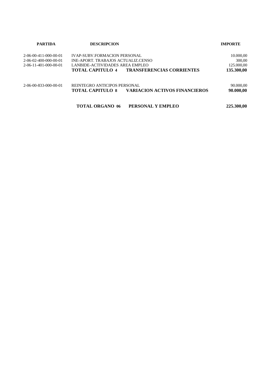| <b>PARTIDA</b>                      | <b>DESCRIPCION</b>                                              | <b>IMPORTE</b> |  |
|-------------------------------------|-----------------------------------------------------------------|----------------|--|
| $2 - 06 - 00 - 411 - 000 - 00 - 01$ | <b>IVAP-SUBV.FORMACION PERSONAL</b>                             | 10.000,00      |  |
| 2-06-02-400-000-00-01               | INE-APORT. TRABAJOS ACTUALIZ.CENSO                              | 300,00         |  |
| $2 - 06 - 11 - 401 - 000 - 00 - 01$ | LANBIDE-ACTIVIDADES AREA EMPLEO                                 | 125,000,00     |  |
|                                     | <b>TRANSFERENCIAS CORRIENTES</b><br><b>TOTAL CAPITULO 4</b>     | 135.300,00     |  |
| 2-06-00-833-000-00-01               | REINTEGRO ANTICIPOS PERSONAL                                    | 90.000,00      |  |
|                                     | <b>VARIACION ACTIVOS FINANCIEROS</b><br><b>TOTAL CAPITULO 8</b> | 90.000,00      |  |
|                                     | <b>TOTAL ORGANO 06</b><br>PERSONAL Y EMPLEO                     | 225.300,00     |  |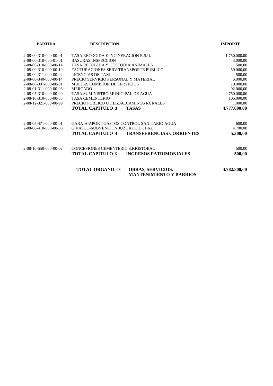| <b>PARTIDA</b>                      | <b>DESCRIPCION</b>                                                                   | <b>IMPORTE</b> |  |
|-------------------------------------|--------------------------------------------------------------------------------------|----------------|--|
| 2-08-00-310-000-00-01               | TASA RECOGIDA E INCINERACION R.S.U.                                                  | 1.750.000,00   |  |
| 2-08-00-310-000-01-01               | <b>BASURAS INSPECCION</b>                                                            | 3.000,00       |  |
| 2-08-00-310-000-00-14               | TASA RECOGIDA Y CUSTODIA ANIMALES                                                    | 500,00         |  |
| $2 - 08 - 00 - 310 - 000 - 00 - 19$ | FACTURACIONES SERV.TRANSPORTE PUBLICO                                                | 59.000,00      |  |
| 2-08-00-311-000-00-02               | LICENCIAS DE TAXI                                                                    | 500,00         |  |
| 2-08-00-340-000-00-14               | PRECIO SERVICIO PERSONAL Y MATERIAL                                                  | 6.000,00       |  |
| 2-08-00-391-000-00-01               | <b>MULTAS COMISION DE SERVICIOS</b>                                                  | 10.000,00      |  |
| 2-08-01-311-000-00-03               | <b>MERCADO</b>                                                                       | 92.000,00      |  |
| 2-08-05-310-000-00-09               | TASA SUMINISTRO MUNICIPAL DE AGUA                                                    | 2.750.000,00   |  |
| 2-08-10-310-000-00-03               | <b>TASA CEMENTERIO</b>                                                               | 105.000,00     |  |
| 2-08-12-321-000-00-99               | PRECIO PUBLICO UTILIZAC.CAMINOS RURALES                                              | 1.000,00       |  |
|                                     | <b>TOTAL CAPITULO 3</b><br><b>TASAS</b>                                              | 4.777.000,00   |  |
| 2-08-05-471-000-00-01               | GARAIA-APORT.GASTOS CONTROL SANITARIO AGUA                                           | 600,00         |  |
| 2-08-06-410-000-00-06               | <b>G.VASCO-SUBVENCION JUZGADO DE PAZ</b>                                             | 4.700,00       |  |
|                                     | <b>TOTAL CAPITULO 4</b><br><b>TRANSFERENCIAS CORRIENTES</b>                          | 5.300,00       |  |
| 2-08-10-550-000-00-02               | CONCESIONES CEMENTERIO S. KRISTOBAL                                                  | 500,00         |  |
|                                     | <b>TOTAL CAPITULO 5</b><br><b>INGRESOS PATRIMONIALES</b>                             | 500,00         |  |
|                                     | <b>TOTAL ORGANO 08</b><br><b>OBRAS, SERVICIOS,</b><br><b>MANTENIMIENTO Y BARRIOS</b> | 4.782.800,00   |  |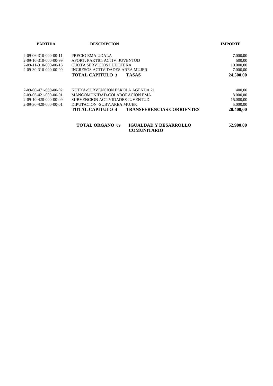| <b>PARTIDA</b>                      | <b>DESCRIPCION</b>                                     | <b>IMPORTE</b> |
|-------------------------------------|--------------------------------------------------------|----------------|
| $2-09-06-310-000-00-11$             | PRECIO EMA UDALA                                       | 7.000,00       |
| $2 - 09 - 10 - 310 - 000 - 00 - 99$ | APORT. PARTIC. ACTIV. JUVENTUD                         | 500,00         |
| 2-09-11-310-000-00-16               | CUOTA SERVICIOS LUDOTEKA                               | 10.000,00      |
| 2-09-30-310-000-00-99               | INGRESOS ACTIVIDADES AREA MUJER                        | 7.000,00       |
|                                     | <b>TOTAL CAPITULO 3</b><br><b>TASAS</b>                | 24.500,00      |
| 2-09-00-471-000-00-02               | KUTXA-SUBVENCION ESKOLA AGENDA 21                      | 400,00         |
| 2-09-06-421-000-00-01               | MANCOMUNIDAD-COLABORACION EMA                          | 8.000,00       |
| 2-09-10-420-000-00-09               | SUBVENCION ACTIVIDADES JUVENTUD                        | 15.000,00      |
| 2-09-30-420-000-00-01               | DIPUTACION -SUBV.AREA MUJER                            | 5.000,00       |
|                                     | <b>TRANSFERENCIAS CORRIENTES</b><br>TOTAL CAPITULO 4   | 28.400.00      |
|                                     | <b>TOTAL ORGANO 09</b><br><b>IGUALDAD Y DESARROLLO</b> | 52.900,00      |

**COMUNITARIO**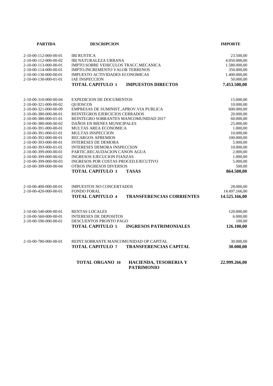| <b>PARTIDA</b>                                 | <b>DESCRIPCION</b>                                                            | <b>IMPORTE</b>     |
|------------------------------------------------|-------------------------------------------------------------------------------|--------------------|
| 2-10-00-112-000-00-01                          | <b>IBI RUSTICA</b>                                                            | 23.500,00          |
| 2-10-00-112-000-00-02                          | <b>IBI NATURALEZA URBANA</b>                                                  | 4.050.000,00       |
| 2-10-00-113-000-00-01                          | IMPTO.SOBRE VEHICULOS TRACC.MECANICA                                          | 1.580.000,00       |
| 2-10-00-114-000-00-01                          | <b>IMPTO.INCREMENTO VALOR TERRENOS</b>                                        | 350.000,00         |
| 2-10-00-130-000-00-01                          | <b>IMPUESTO ACTIVIDADES ECONOMICAS</b>                                        | 1.400.000,00       |
| 2-10-00-130-000-01-01                          | <b>IAE INSPECCION</b>                                                         | 50.000,00          |
|                                                | <b>TOTAL CAPITULO 1</b><br><b>IMPUESTOS DIRECTOS</b>                          | 7.453.500,00       |
| 2-10-00-310-000-00-04                          | <b>EXPEDICION DE DOCUMENTOS</b>                                               | 15.000,00          |
| 2-10-00-321-000-00-02                          | <b>OUIOSCOS</b>                                                               | 10.000,00          |
| 2-10-00-321-000-00-09                          | EMPRESAS DE SUMINIST., APROV. VIA PUBLICA                                     | 600.000,00         |
| 2-10-00-380-000-00-01                          | REINTEGROS EJERCICIOS CERRADOS                                                | 20.000,00          |
| 2-10-00-380-000-01-01                          | REINTEGRO SOBRANTES MANCOMUNIDAD 2017                                         | 60.000,00          |
| 2-10-00-380-000-00-02                          | DAÑOS EN BIENES MUNICIPALES                                                   | 25.000,00          |
| 2-10-00-391-000-00-01                          | MULTAS AREA ECONOMICA                                                         | 1.000,00           |
| 2-10-00-391-000-01-01                          | MULTAS INSPECCION                                                             | 10.000,00          |
| 2-10-00-392-000-00-01                          | <b>RECARGOS APREMIOS</b>                                                      | 100.000,00         |
| 2-10-00-393-000-00-01                          | <b>INTERESES DE DEMORA</b>                                                    | 5.000,00           |
| 2-10-00-393-000-01-01                          | <b>INTERESES DEMORA INSPECCION</b>                                            | 10.000,00          |
| 2-10-00-399-000-00-01                          | PARTIC.RECAUDACION CANON AGUA                                                 | 2.000,00           |
| 2-10-00-399-000-00-02                          | <b>INGRESOS EJECUCION FIANZAS</b>                                             | 1.000,00           |
| 2-10-00-399-000-00-03<br>2-10-00-399-000-00-04 | <b>INGRESOS POR COSTAS PROCED.EJECUTIVO</b><br><b>OTROS INGRESOS DIVERSOS</b> | 5.000,00<br>500,00 |
|                                                |                                                                               |                    |
|                                                | <b>TOTAL CAPITULO 3</b><br><b>TASAS</b>                                       | 864.500,00         |
| 2-10-00-400-000-00-01                          | <b>IMPUESTOS NO CONCERTADOS</b>                                               | 28.000,00          |
| 2-10-00-420-000-00-01                          | <b>FONDO FORAL</b>                                                            | 14.497.166,00      |
|                                                | <b>TOTAL CAPITULO 4</b><br><b>TRANSFERENCIAS CORRIENTES</b>                   | 14.525.166,00      |
| 2-10-00-540-000-00-01                          | <b>RENTAS LOCALES</b>                                                         | 120.000,00         |
| 2-10-00-560-000-00-01                          | <b>INTERESES DE DEPOSITOS</b>                                                 | 6.000,00           |
| 2-10-00-590-000-00-01                          | DESCUENTOS PRONTO PAGO                                                        | 100,00             |
|                                                | <b>TOTAL CAPITULO 5</b><br><b>INGRESOS PATRIMONIALES</b>                      | 126.100,00         |
| 2-10-00-780-000-00-01                          | REINT.SOBRANTE MANCOMUNIDAD OP CAPITAL                                        | 30.000,00          |
|                                                | <b>TOTAL CAPITULO 7</b><br><b>TRANSFERENCIAS CAPITAL</b>                      | 30.000,00          |
|                                                | <b>TOTAL ORGANO 10</b><br>HACIENDA, TESORERIA Y<br><b>PATRIMONIO</b>          | 22.999.266,00      |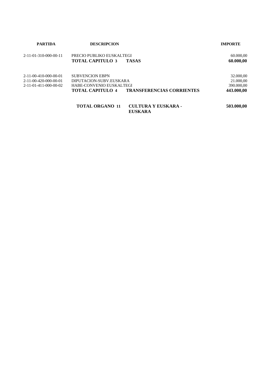| <b>PARTIDA</b>        | <b>DESCRIPCION</b>        |                                       | <b>IMPORTE</b> |  |
|-----------------------|---------------------------|---------------------------------------|----------------|--|
| 2-11-01-310-000-00-11 | PRECIO PUBLIKO EUSKALTEGI |                                       | 60.000,00      |  |
|                       | <b>TOTAL CAPITULO 3</b>   | <b>TASAS</b>                          | 60.000,00      |  |
| 2-11-00-410-000-00-01 | <b>SUBVENCION EBPN</b>    |                                       | 32.000,00      |  |
| 2-11-00-420-000-00-01 | DIPUTACION-SUBV.EUSKARA   |                                       | 21.000,00      |  |
| 2-11-01-411-000-00-02 | HABE-CONVENIO EUSKALTEGI  |                                       | 390.000,00     |  |
|                       | <b>TOTAL CAPITULO 4</b>   | <b>TRANSFERENCIAS CORRIENTES</b>      | 443.000,00     |  |
|                       | <b>TOTAL ORGANO 11</b>    | CULTURA Y EUSKARA -<br><b>EUSKARA</b> | 503.000,00     |  |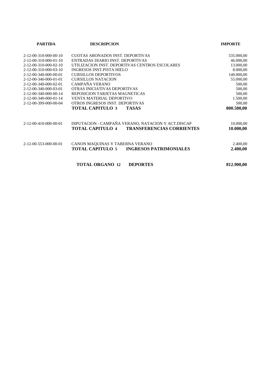| <b>PARTIDA</b>                      | <b>DESCRIPCION</b>                                   | <b>IMPORTE</b> |
|-------------------------------------|------------------------------------------------------|----------------|
| $2 - 12 - 00 - 310 - 000 - 00 - 10$ | CUOTAS ABONADOS INST. DEPORTIVAS                     | 535.000,00     |
| 2-12-00-310-000-01-10               | ENTRADAS DIARIO INST. DEPORTIVAS                     | 46.000,00      |
| $2 - 12 - 00 - 310 - 000 - 02 - 10$ | UTILIZACION INST. DEPORTIVAS CENTROS ESCOLARES       | 13.000,00      |
| $2 - 12 - 00 - 310 - 000 - 03 - 10$ | <b>INGRESOS INST.PISTA HIELO</b>                     | 8.000,00       |
| 2-12-00-340-000-00-01               | <b>CURSILLOS DEPORTIVOS</b>                          | 140.000,00     |
| 2-12-00-340-000-01-01               | <b>CURSILLOS NATACION</b>                            | 55.000,00      |
| 2-12-00-340-000-02-01               | CAMPAÑA VERANO                                       | 500,00         |
| 2-12-00-340-000-03-01               | OTRAS INICIATIVAS DEPORTIVAS                         | 500,00         |
| 2-12-00-340-000-00-14               | REPOSICION TARJETAS MAGNETICAS                       | 500,00         |
| 2-12-00-340-000-01-14               | VENTA MATERIAL DEPORTIVO                             | 1.500,00       |
| 2-12-00-399-000-00-04               | OTROS INGRESOS INST. DEPORTIVAS                      | 500,00         |
|                                     | <b>TOTAL CAPITULO 3</b><br><b>TASAS</b>              | 800.500,00     |
| 2-12-00-410-000-00-01               | DIPUTACION - CAMPAÑA VERANO, NATACION Y ACT.DISCAP   | 10.000,00      |
|                                     | TOTAL CAPITULO 4<br><b>TRANSFERENCIAS CORRIENTES</b> | 10.000,00      |
| 2-12-00-553-000-00-01               | CANON MAQUINAS Y TABERNA VERANO                      | 2.400,00       |
|                                     | TOTAL CAPITULO 5<br><b>INGRESOS PATRIMONIALES</b>    | 2.400,00       |
|                                     | <b>TOTAL ORGANO 12</b><br><b>DEPORTES</b>            | 812.900,00     |